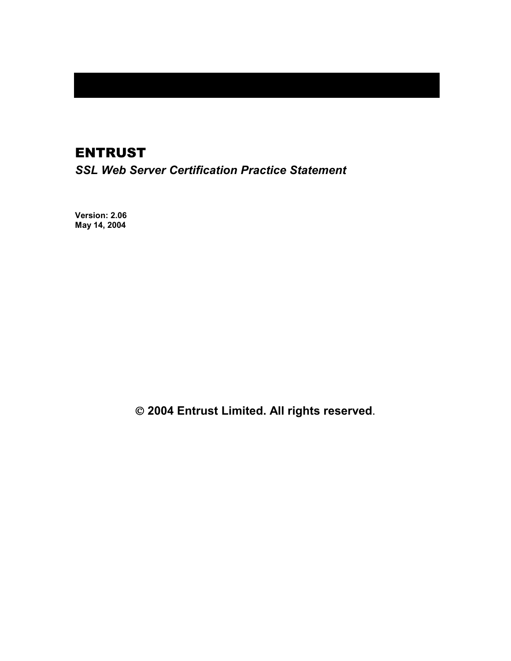# ENTRUST

*SSL Web Server Certification Practice Statement* 

**Version: 2.06 May 14, 2004** 

 **2004 Entrust Limited. All rights reserved**.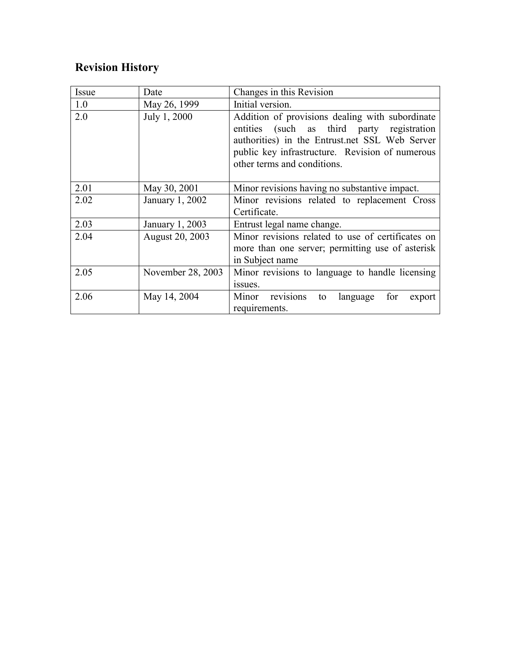# **Revision History**

| Issue | Date              | Changes in this Revision                                                                                                                                                                                                          |
|-------|-------------------|-----------------------------------------------------------------------------------------------------------------------------------------------------------------------------------------------------------------------------------|
| 1.0   | May 26, 1999      | Initial version.                                                                                                                                                                                                                  |
| 2.0   | July 1, 2000      | Addition of provisions dealing with subordinate<br>entities (such as third party registration<br>authorities) in the Entrust.net SSL Web Server<br>public key infrastructure. Revision of numerous<br>other terms and conditions. |
| 2.01  | May 30, 2001      | Minor revisions having no substantive impact.                                                                                                                                                                                     |
| 2.02  | January 1, 2002   | Minor revisions related to replacement Cross<br>Certificate.                                                                                                                                                                      |
| 2.03  | January 1, 2003   | Entrust legal name change.                                                                                                                                                                                                        |
| 2.04  | August 20, 2003   | Minor revisions related to use of certificates on<br>more than one server; permitting use of asterisk<br>in Subject name                                                                                                          |
| 2.05  | November 28, 2003 | Minor revisions to language to handle licensing<br>issues.                                                                                                                                                                        |
| 2.06  | May 14, 2004      | Minor revisions<br>for<br>language<br>to<br>export<br>requirements.                                                                                                                                                               |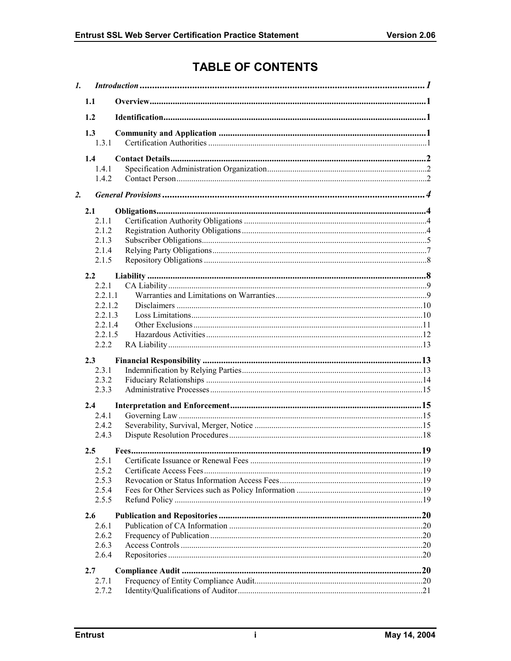# **TABLE OF CONTENTS**

| $\mathbf{I}$ . |                  | Introduction 1.1 |  |
|----------------|------------------|------------------|--|
|                | 1.1              |                  |  |
|                | 1.2              |                  |  |
|                | 1.3              |                  |  |
|                | 1.3.1            |                  |  |
|                | 1.4              |                  |  |
|                | 1.4.1            |                  |  |
|                | 1.4.2            |                  |  |
| 2.             |                  |                  |  |
|                | 2.1              |                  |  |
|                | 2.1.1            |                  |  |
|                | 2.1.2            |                  |  |
|                | 2.1.3            |                  |  |
|                | 2.1.4            |                  |  |
|                | 2.1.5            |                  |  |
|                | 2.2              |                  |  |
|                | 2.2.1            |                  |  |
|                | 2.2.1.1          |                  |  |
|                | 2.2.1.2          |                  |  |
|                | 2.2.1.3          |                  |  |
|                | 2.2.1.4          |                  |  |
|                | 2.2.1.5<br>2.2.2 |                  |  |
|                |                  |                  |  |
|                | 2.3              |                  |  |
|                | 2.3.1            |                  |  |
|                | 2.3.2            |                  |  |
|                | 2.3.3            |                  |  |
|                | 2.4              |                  |  |
|                | 2.4.1            |                  |  |
|                | 2.4.2            |                  |  |
|                | 2.4.3            |                  |  |
|                | 2.5              |                  |  |
|                | 2.5.1            |                  |  |
|                | 2.5.2            |                  |  |
|                | 2.5.3            |                  |  |
|                | 2.5.4            |                  |  |
|                | 2.5.5            |                  |  |
|                | 2.6              |                  |  |
|                | 2.6.1            |                  |  |
|                | 2.6.2            |                  |  |
|                | 2.6.3            |                  |  |
|                | 2.6.4            |                  |  |
|                | 2.7              |                  |  |
|                | 2.7.1            |                  |  |
|                | 2.7.2            |                  |  |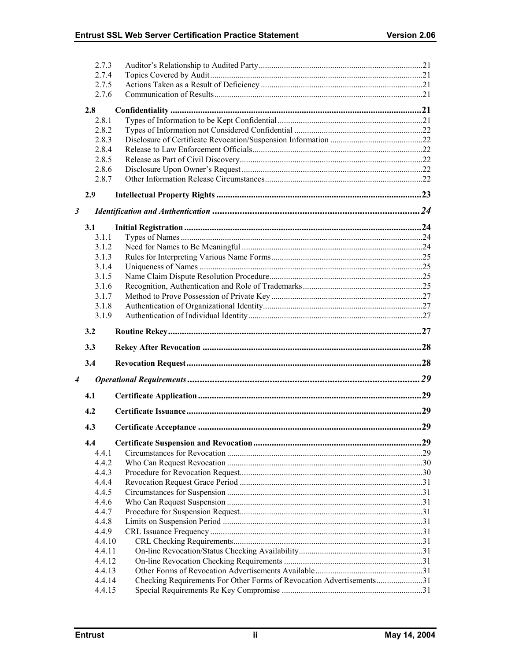|                      | 2.7.3            |                                                                      |  |
|----------------------|------------------|----------------------------------------------------------------------|--|
|                      | 2.7.4            |                                                                      |  |
|                      | 2.7.5            |                                                                      |  |
|                      | 2.7.6            |                                                                      |  |
|                      | 2.8              |                                                                      |  |
|                      | 2.8.1            |                                                                      |  |
|                      | 2.8.2            |                                                                      |  |
|                      | 2.8.3            |                                                                      |  |
|                      | 2.8.4            |                                                                      |  |
|                      | 2.8.5            |                                                                      |  |
|                      | 2.8.6            |                                                                      |  |
|                      | 2.8.7            |                                                                      |  |
|                      |                  |                                                                      |  |
|                      | 2.9              |                                                                      |  |
| $\boldsymbol{\beta}$ |                  |                                                                      |  |
|                      | 3.1              |                                                                      |  |
|                      | 3.1.1            |                                                                      |  |
|                      | 3.1.2            |                                                                      |  |
|                      | 3.1.3            |                                                                      |  |
|                      | 3.1.4            |                                                                      |  |
|                      | 3.1.5            |                                                                      |  |
|                      | 3.1.6            |                                                                      |  |
|                      | 3.1.7            |                                                                      |  |
|                      | 3.1.8            |                                                                      |  |
|                      | 3.1.9            |                                                                      |  |
|                      | 3.2              |                                                                      |  |
|                      |                  |                                                                      |  |
|                      | 3.3              |                                                                      |  |
|                      | 3.4              |                                                                      |  |
| 4                    |                  |                                                                      |  |
|                      | 4.1              |                                                                      |  |
|                      | 4.2              |                                                                      |  |
|                      |                  |                                                                      |  |
|                      | 4.3              |                                                                      |  |
|                      | 4.4              |                                                                      |  |
|                      | 4.4.1            |                                                                      |  |
|                      | 4.4.2            |                                                                      |  |
|                      | 4.4.3            |                                                                      |  |
|                      | 4.4.4            |                                                                      |  |
|                      | 4.4.5            |                                                                      |  |
|                      | 4.4.6            |                                                                      |  |
|                      | 4.4.7            |                                                                      |  |
|                      | 4.4.8            |                                                                      |  |
|                      | 4.4.9            |                                                                      |  |
|                      | 4.4.10<br>4.4.11 |                                                                      |  |
|                      | 4.4.12           |                                                                      |  |
|                      |                  |                                                                      |  |
|                      |                  |                                                                      |  |
|                      | 4.4.13           |                                                                      |  |
|                      | 4.4.14<br>4.4.15 | Checking Requirements For Other Forms of Revocation Advertisements31 |  |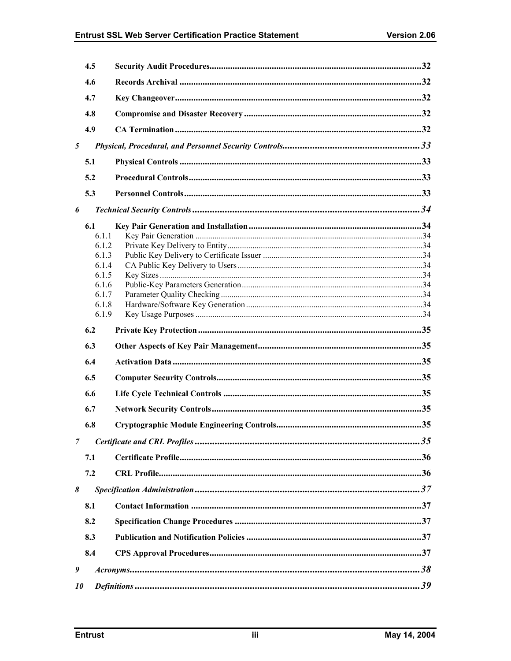|   | 4.5            |  |
|---|----------------|--|
|   | 4.6            |  |
|   | 4.7            |  |
|   | 4.8            |  |
|   | 4.9            |  |
| 5 |                |  |
|   | 5.1            |  |
|   | 5.2            |  |
|   |                |  |
|   | 5.3            |  |
| 6 |                |  |
|   | 6.1            |  |
|   | 6.1.1<br>6.1.2 |  |
|   | 6.1.3          |  |
|   | 6.1.4          |  |
|   | 6.1.5          |  |
|   | 6.1.6          |  |
|   | 6.1.7          |  |
|   | 6.1.8          |  |
|   | 6.1.9          |  |
|   | 6.2            |  |
|   |                |  |
|   | 6.3            |  |
|   | 6.4            |  |
|   | 6.5            |  |
|   | 6.6            |  |
|   | 6.7            |  |
|   | 6.8            |  |
| 7 |                |  |
|   | 7.1            |  |
|   | 7.2            |  |
| 8 |                |  |
|   |                |  |
|   | 8.1            |  |
|   | 8.2            |  |
|   | 8.3            |  |
|   | 8.4            |  |
| 9 |                |  |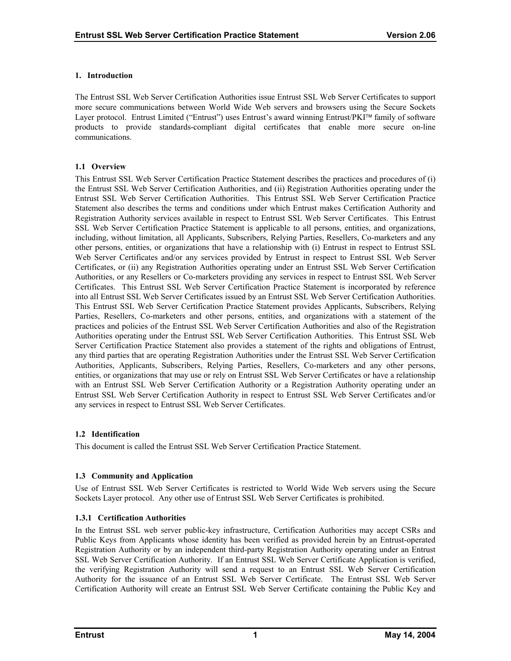#### <span id="page-5-0"></span>**1. Introduction**

The Entrust SSL Web Server Certification Authorities issue Entrust SSL Web Server Certificates to support more secure communications between World Wide Web servers and browsers using the Secure Sockets Layer protocol. Entrust Limited ("Entrust") uses Entrust's award winning Entrust/PKI™ family of software products to provide standards-compliant digital certificates that enable more secure on-line communications.

## **1.1 Overview**

This Entrust SSL Web Server Certification Practice Statement describes the practices and procedures of (i) the Entrust SSL Web Server Certification Authorities, and (ii) Registration Authorities operating under the Entrust SSL Web Server Certification Authorities. This Entrust SSL Web Server Certification Practice Statement also describes the terms and conditions under which Entrust makes Certification Authority and Registration Authority services available in respect to Entrust SSL Web Server Certificates. This Entrust SSL Web Server Certification Practice Statement is applicable to all persons, entities, and organizations, including, without limitation, all Applicants, Subscribers, Relying Parties, Resellers, Co-marketers and any other persons, entities, or organizations that have a relationship with (i) Entrust in respect to Entrust SSL Web Server Certificates and/or any services provided by Entrust in respect to Entrust SSL Web Server Certificates, or (ii) any Registration Authorities operating under an Entrust SSL Web Server Certification Authorities, or any Resellers or Co-marketers providing any services in respect to Entrust SSL Web Server Certificates. This Entrust SSL Web Server Certification Practice Statement is incorporated by reference into all Entrust SSL Web Server Certificates issued by an Entrust SSL Web Server Certification Authorities. This Entrust SSL Web Server Certification Practice Statement provides Applicants, Subscribers, Relying Parties, Resellers, Co-marketers and other persons, entities, and organizations with a statement of the practices and policies of the Entrust SSL Web Server Certification Authorities and also of the Registration Authorities operating under the Entrust SSL Web Server Certification Authorities. This Entrust SSL Web Server Certification Practice Statement also provides a statement of the rights and obligations of Entrust, any third parties that are operating Registration Authorities under the Entrust SSL Web Server Certification Authorities, Applicants, Subscribers, Relying Parties, Resellers, Co-marketers and any other persons, entities, or organizations that may use or rely on Entrust SSL Web Server Certificates or have a relationship with an Entrust SSL Web Server Certification Authority or a Registration Authority operating under an Entrust SSL Web Server Certification Authority in respect to Entrust SSL Web Server Certificates and/or any services in respect to Entrust SSL Web Server Certificates.

## **1.2 Identification**

This document is called the Entrust SSL Web Server Certification Practice Statement.

## **1.3 Community and Application**

Use of Entrust SSL Web Server Certificates is restricted to World Wide Web servers using the Secure Sockets Layer protocol. Any other use of Entrust SSL Web Server Certificates is prohibited.

## **1.3.1 Certification Authorities**

In the Entrust SSL web server public-key infrastructure, Certification Authorities may accept CSRs and Public Keys from Applicants whose identity has been verified as provided herein by an Entrust-operated Registration Authority or by an independent third-party Registration Authority operating under an Entrust SSL Web Server Certification Authority. If an Entrust SSL Web Server Certificate Application is verified, the verifying Registration Authority will send a request to an Entrust SSL Web Server Certification Authority for the issuance of an Entrust SSL Web Server Certificate. The Entrust SSL Web Server Certification Authority will create an Entrust SSL Web Server Certificate containing the Public Key and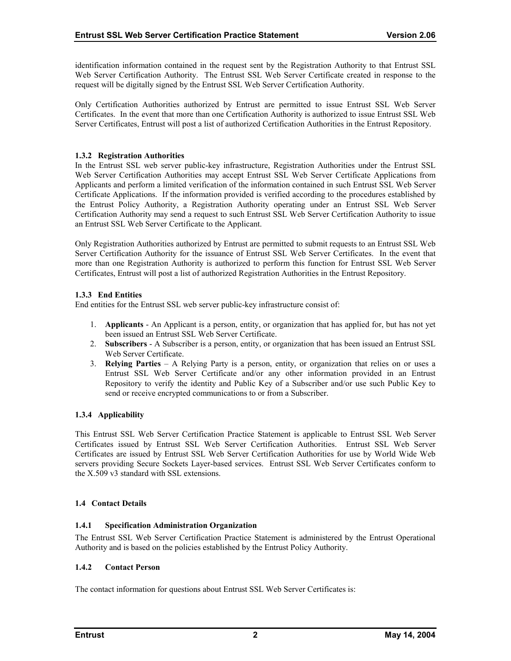<span id="page-6-0"></span>identification information contained in the request sent by the Registration Authority to that Entrust SSL Web Server Certification Authority. The Entrust SSL Web Server Certificate created in response to the request will be digitally signed by the Entrust SSL Web Server Certification Authority.

Only Certification Authorities authorized by Entrust are permitted to issue Entrust SSL Web Server Certificates. In the event that more than one Certification Authority is authorized to issue Entrust SSL Web Server Certificates, Entrust will post a list of authorized Certification Authorities in the Entrust Repository.

## **1.3.2 Registration Authorities**

In the Entrust SSL web server public-key infrastructure, Registration Authorities under the Entrust SSL Web Server Certification Authorities may accept Entrust SSL Web Server Certificate Applications from Applicants and perform a limited verification of the information contained in such Entrust SSL Web Server Certificate Applications. If the information provided is verified according to the procedures established by the Entrust Policy Authority, a Registration Authority operating under an Entrust SSL Web Server Certification Authority may send a request to such Entrust SSL Web Server Certification Authority to issue an Entrust SSL Web Server Certificate to the Applicant.

Only Registration Authorities authorized by Entrust are permitted to submit requests to an Entrust SSL Web Server Certification Authority for the issuance of Entrust SSL Web Server Certificates. In the event that more than one Registration Authority is authorized to perform this function for Entrust SSL Web Server Certificates, Entrust will post a list of authorized Registration Authorities in the Entrust Repository.

## **1.3.3 End Entities**

End entities for the Entrust SSL web server public-key infrastructure consist of:

- 1. **Applicants** An Applicant is a person, entity, or organization that has applied for, but has not yet been issued an Entrust SSL Web Server Certificate.
- 2. **Subscribers**  A Subscriber is a person, entity, or organization that has been issued an Entrust SSL Web Server Certificate.
- 3. **Relying Parties**  A Relying Party is a person, entity, or organization that relies on or uses a Entrust SSL Web Server Certificate and/or any other information provided in an Entrust Repository to verify the identity and Public Key of a Subscriber and/or use such Public Key to send or receive encrypted communications to or from a Subscriber.

## **1.3.4 Applicability**

This Entrust SSL Web Server Certification Practice Statement is applicable to Entrust SSL Web Server Certificates issued by Entrust SSL Web Server Certification Authorities. Entrust SSL Web Server Certificates are issued by Entrust SSL Web Server Certification Authorities for use by World Wide Web servers providing Secure Sockets Layer-based services. Entrust SSL Web Server Certificates conform to the X.509 v3 standard with SSL extensions.

## **1.4 Contact Details**

## **1.4.1 Specification Administration Organization**

The Entrust SSL Web Server Certification Practice Statement is administered by the Entrust Operational Authority and is based on the policies established by the Entrust Policy Authority.

## **1.4.2 Contact Person**

The contact information for questions about Entrust SSL Web Server Certificates is: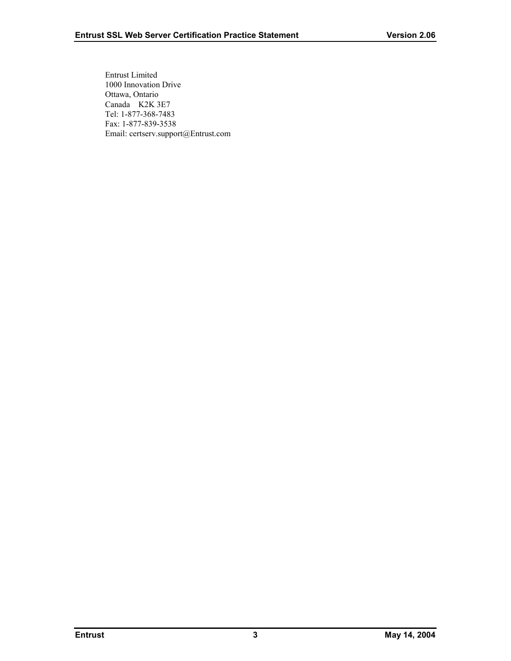Entrust Limited 1000 Innovation Drive Ottawa, Ontario Canada K2K 3E7 Tel: 1-877-368-7483 Fax: 1-877-839-3538 Email: certserv.support@Entrust.com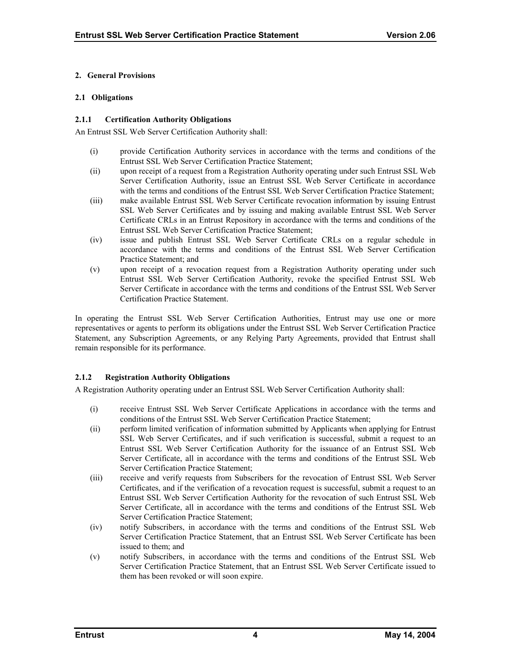#### <span id="page-8-0"></span>**2. General Provisions**

#### **2.1 Obligations**

#### **2.1.1 Certification Authority Obligations**

An Entrust SSL Web Server Certification Authority shall:

- (i) provide Certification Authority services in accordance with the terms and conditions of the Entrust SSL Web Server Certification Practice Statement;
- (ii) upon receipt of a request from a Registration Authority operating under such Entrust SSL Web Server Certification Authority, issue an Entrust SSL Web Server Certificate in accordance with the terms and conditions of the Entrust SSL Web Server Certification Practice Statement;
- (iii) make available Entrust SSL Web Server Certificate revocation information by issuing Entrust SSL Web Server Certificates and by issuing and making available Entrust SSL Web Server Certificate CRLs in an Entrust Repository in accordance with the terms and conditions of the Entrust SSL Web Server Certification Practice Statement;
- (iv) issue and publish Entrust SSL Web Server Certificate CRLs on a regular schedule in accordance with the terms and conditions of the Entrust SSL Web Server Certification Practice Statement; and
- (v) upon receipt of a revocation request from a Registration Authority operating under such Entrust SSL Web Server Certification Authority, revoke the specified Entrust SSL Web Server Certificate in accordance with the terms and conditions of the Entrust SSL Web Server Certification Practice Statement.

In operating the Entrust SSL Web Server Certification Authorities, Entrust may use one or more representatives or agents to perform its obligations under the Entrust SSL Web Server Certification Practice Statement, any Subscription Agreements, or any Relying Party Agreements, provided that Entrust shall remain responsible for its performance.

## **2.1.2 Registration Authority Obligations**

A Registration Authority operating under an Entrust SSL Web Server Certification Authority shall:

- (i) receive Entrust SSL Web Server Certificate Applications in accordance with the terms and conditions of the Entrust SSL Web Server Certification Practice Statement;
- (ii) perform limited verification of information submitted by Applicants when applying for Entrust SSL Web Server Certificates, and if such verification is successful, submit a request to an Entrust SSL Web Server Certification Authority for the issuance of an Entrust SSL Web Server Certificate, all in accordance with the terms and conditions of the Entrust SSL Web Server Certification Practice Statement;
- (iii) receive and verify requests from Subscribers for the revocation of Entrust SSL Web Server Certificates, and if the verification of a revocation request is successful, submit a request to an Entrust SSL Web Server Certification Authority for the revocation of such Entrust SSL Web Server Certificate, all in accordance with the terms and conditions of the Entrust SSL Web Server Certification Practice Statement;
- (iv) notify Subscribers, in accordance with the terms and conditions of the Entrust SSL Web Server Certification Practice Statement, that an Entrust SSL Web Server Certificate has been issued to them; and
- (v) notify Subscribers, in accordance with the terms and conditions of the Entrust SSL Web Server Certification Practice Statement, that an Entrust SSL Web Server Certificate issued to them has been revoked or will soon expire.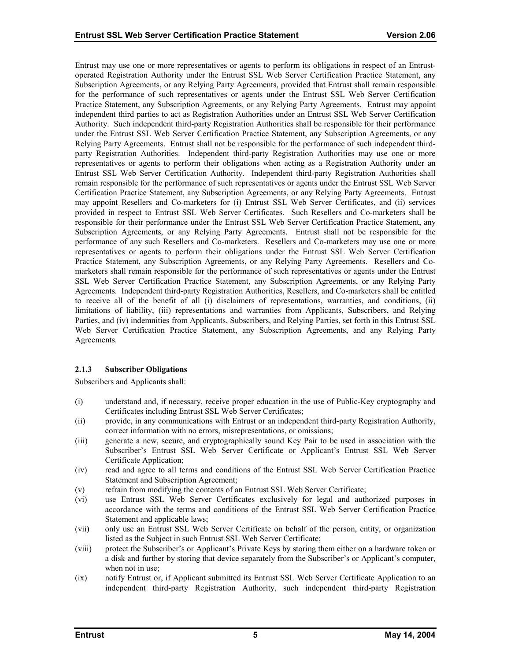<span id="page-9-0"></span>Entrust may use one or more representatives or agents to perform its obligations in respect of an Entrustoperated Registration Authority under the Entrust SSL Web Server Certification Practice Statement, any Subscription Agreements, or any Relying Party Agreements, provided that Entrust shall remain responsible for the performance of such representatives or agents under the Entrust SSL Web Server Certification Practice Statement, any Subscription Agreements, or any Relying Party Agreements. Entrust may appoint independent third parties to act as Registration Authorities under an Entrust SSL Web Server Certification Authority. Such independent third-party Registration Authorities shall be responsible for their performance under the Entrust SSL Web Server Certification Practice Statement, any Subscription Agreements, or any Relying Party Agreements. Entrust shall not be responsible for the performance of such independent thirdparty Registration Authorities. Independent third-party Registration Authorities may use one or more representatives or agents to perform their obligations when acting as a Registration Authority under an Entrust SSL Web Server Certification Authority. Independent third-party Registration Authorities shall remain responsible for the performance of such representatives or agents under the Entrust SSL Web Server Certification Practice Statement, any Subscription Agreements, or any Relying Party Agreements. Entrust may appoint Resellers and Co-marketers for (i) Entrust SSL Web Server Certificates, and (ii) services provided in respect to Entrust SSL Web Server Certificates. Such Resellers and Co-marketers shall be responsible for their performance under the Entrust SSL Web Server Certification Practice Statement, any Subscription Agreements, or any Relying Party Agreements. Entrust shall not be responsible for the performance of any such Resellers and Co-marketers. Resellers and Co-marketers may use one or more representatives or agents to perform their obligations under the Entrust SSL Web Server Certification Practice Statement, any Subscription Agreements, or any Relying Party Agreements. Resellers and Comarketers shall remain responsible for the performance of such representatives or agents under the Entrust SSL Web Server Certification Practice Statement, any Subscription Agreements, or any Relying Party Agreements. Independent third-party Registration Authorities, Resellers, and Co-marketers shall be entitled to receive all of the benefit of all (i) disclaimers of representations, warranties, and conditions, (ii) limitations of liability, (iii) representations and warranties from Applicants, Subscribers, and Relying Parties, and (iv) indemnities from Applicants, Subscribers, and Relying Parties, set forth in this Entrust SSL Web Server Certification Practice Statement, any Subscription Agreements, and any Relying Party Agreements.

## **2.1.3 Subscriber Obligations**

Subscribers and Applicants shall:

- (i) understand and, if necessary, receive proper education in the use of Public-Key cryptography and Certificates including Entrust SSL Web Server Certificates;
- (ii) provide, in any communications with Entrust or an independent third-party Registration Authority, correct information with no errors, misrepresentations, or omissions;
- (iii) generate a new, secure, and cryptographically sound Key Pair to be used in association with the Subscriber's Entrust SSL Web Server Certificate or Applicant's Entrust SSL Web Server Certificate Application;
- (iv) read and agree to all terms and conditions of the Entrust SSL Web Server Certification Practice Statement and Subscription Agreement;
- (v) refrain from modifying the contents of an Entrust SSL Web Server Certificate;
- (vi) use Entrust SSL Web Server Certificates exclusively for legal and authorized purposes in accordance with the terms and conditions of the Entrust SSL Web Server Certification Practice Statement and applicable laws;
- (vii) only use an Entrust SSL Web Server Certificate on behalf of the person, entity, or organization listed as the Subject in such Entrust SSL Web Server Certificate;
- (viii) protect the Subscriber's or Applicant's Private Keys by storing them either on a hardware token or a disk and further by storing that device separately from the Subscriber's or Applicant's computer, when not in use;
- (ix) notify Entrust or, if Applicant submitted its Entrust SSL Web Server Certificate Application to an independent third-party Registration Authority, such independent third-party Registration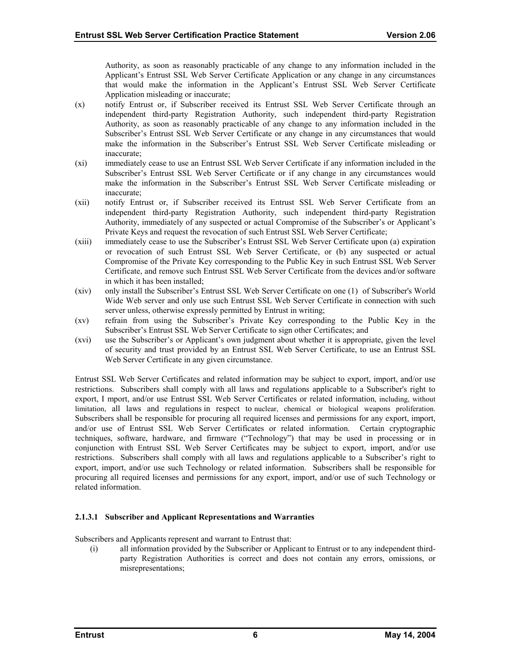Authority, as soon as reasonably practicable of any change to any information included in the Applicant's Entrust SSL Web Server Certificate Application or any change in any circumstances that would make the information in the Applicant's Entrust SSL Web Server Certificate Application misleading or inaccurate;

- (x) notify Entrust or, if Subscriber received its Entrust SSL Web Server Certificate through an independent third-party Registration Authority, such independent third-party Registration Authority, as soon as reasonably practicable of any change to any information included in the Subscriber's Entrust SSL Web Server Certificate or any change in any circumstances that would make the information in the Subscriber's Entrust SSL Web Server Certificate misleading or inaccurate;
- (xi) immediately cease to use an Entrust SSL Web Server Certificate if any information included in the Subscriber's Entrust SSL Web Server Certificate or if any change in any circumstances would make the information in the Subscriber's Entrust SSL Web Server Certificate misleading or inaccurate;
- (xii) notify Entrust or, if Subscriber received its Entrust SSL Web Server Certificate from an independent third-party Registration Authority, such independent third-party Registration Authority, immediately of any suspected or actual Compromise of the Subscriber's or Applicant's Private Keys and request the revocation of such Entrust SSL Web Server Certificate;
- (xiii) immediately cease to use the Subscriber's Entrust SSL Web Server Certificate upon (a) expiration or revocation of such Entrust SSL Web Server Certificate, or (b) any suspected or actual Compromise of the Private Key corresponding to the Public Key in such Entrust SSL Web Server Certificate, and remove such Entrust SSL Web Server Certificate from the devices and/or software in which it has been installed;
- (xiv) only install the Subscriber's Entrust SSL Web Server Certificate on one (1) of Subscriber's World Wide Web server and only use such Entrust SSL Web Server Certificate in connection with such server unless, otherwise expressly permitted by Entrust in writing;
- (xv) refrain from using the Subscriber's Private Key corresponding to the Public Key in the Subscriber's Entrust SSL Web Server Certificate to sign other Certificates; and
- (xvi) use the Subscriber's or Applicant's own judgment about whether it is appropriate, given the level of security and trust provided by an Entrust SSL Web Server Certificate, to use an Entrust SSL Web Server Certificate in any given circumstance.

Entrust SSL Web Server Certificates and related information may be subject to export, import, and/or use restrictions. Subscribers shall comply with all laws and regulations applicable to a Subscriber's right to export, I mport, and/or use Entrust SSL Web Server Certificates or related information, including, without limitation, all laws and regulations in respect to nuclear, chemical or biological weapons proliferation. Subscribers shall be responsible for procuring all required licenses and permissions for any export, import, and/or use of Entrust SSL Web Server Certificates or related information. Certain cryptographic techniques, software, hardware, and firmware ("Technology") that may be used in processing or in conjunction with Entrust SSL Web Server Certificates may be subject to export, import, and/or use restrictions. Subscribers shall comply with all laws and regulations applicable to a Subscriber's right to export, import, and/or use such Technology or related information. Subscribers shall be responsible for procuring all required licenses and permissions for any export, import, and/or use of such Technology or related information.

## **2.1.3.1 Subscriber and Applicant Representations and Warranties**

Subscribers and Applicants represent and warrant to Entrust that:

(i) all information provided by the Subscriber or Applicant to Entrust or to any independent thirdparty Registration Authorities is correct and does not contain any errors, omissions, or misrepresentations;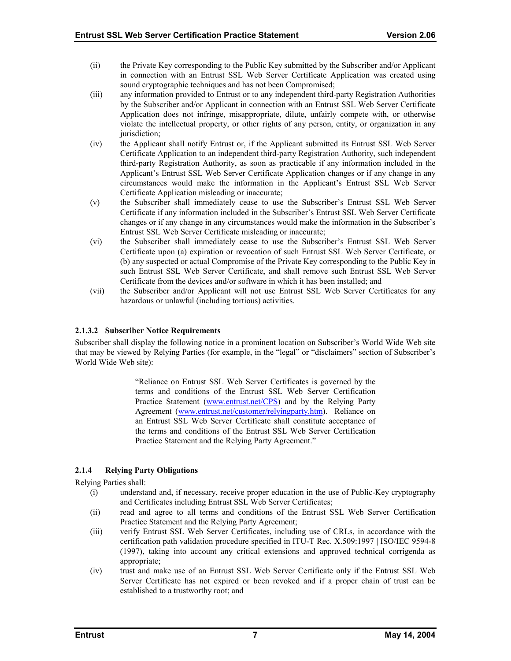- <span id="page-11-0"></span>(ii) the Private Key corresponding to the Public Key submitted by the Subscriber and/or Applicant in connection with an Entrust SSL Web Server Certificate Application was created using sound cryptographic techniques and has not been Compromised;
- (iii) any information provided to Entrust or to any independent third-party Registration Authorities by the Subscriber and/or Applicant in connection with an Entrust SSL Web Server Certificate Application does not infringe, misappropriate, dilute, unfairly compete with, or otherwise violate the intellectual property, or other rights of any person, entity, or organization in any jurisdiction;
- (iv) the Applicant shall notify Entrust or, if the Applicant submitted its Entrust SSL Web Server Certificate Application to an independent third-party Registration Authority, such independent third-party Registration Authority, as soon as practicable if any information included in the Applicant's Entrust SSL Web Server Certificate Application changes or if any change in any circumstances would make the information in the Applicant's Entrust SSL Web Server Certificate Application misleading or inaccurate;
- (v) the Subscriber shall immediately cease to use the Subscriber's Entrust SSL Web Server Certificate if any information included in the Subscriber's Entrust SSL Web Server Certificate changes or if any change in any circumstances would make the information in the Subscriber's Entrust SSL Web Server Certificate misleading or inaccurate;
- (vi) the Subscriber shall immediately cease to use the Subscriber's Entrust SSL Web Server Certificate upon (a) expiration or revocation of such Entrust SSL Web Server Certificate, or (b) any suspected or actual Compromise of the Private Key corresponding to the Public Key in such Entrust SSL Web Server Certificate, and shall remove such Entrust SSL Web Server Certificate from the devices and/or software in which it has been installed; and
- (vii) the Subscriber and/or Applicant will not use Entrust SSL Web Server Certificates for any hazardous or unlawful (including tortious) activities.

## **2.1.3.2 Subscriber Notice Requirements**

Subscriber shall display the following notice in a prominent location on Subscriber's World Wide Web site that may be viewed by Relying Parties (for example, in the "legal" or "disclaimers" section of Subscriber's World Wide Web site):

> "Reliance on Entrust SSL Web Server Certificates is governed by the terms and conditions of the Entrust SSL Web Server Certification Practice Statement [\(www.entrust.net/CPS\)](http://www.entrust.net/CPS) and by the Relying Party Agreement ([www.entrust.net/customer/relyingparty.htm\)](http://www.entrust.net/?). Reliance on an Entrust SSL Web Server Certificate shall constitute acceptance of the terms and conditions of the Entrust SSL Web Server Certification Practice Statement and the Relying Party Agreement."

# **2.1.4 Relying Party Obligations**

Relying Parties shall:

- (i) understand and, if necessary, receive proper education in the use of Public-Key cryptography and Certificates including Entrust SSL Web Server Certificates;
- (ii) read and agree to all terms and conditions of the Entrust SSL Web Server Certification Practice Statement and the Relying Party Agreement;
- (iii) verify Entrust SSL Web Server Certificates, including use of CRLs, in accordance with the certification path validation procedure specified in ITU-T Rec. X.509:1997 | ISO/IEC 9594-8 (1997), taking into account any critical extensions and approved technical corrigenda as appropriate;
- (iv) trust and make use of an Entrust SSL Web Server Certificate only if the Entrust SSL Web Server Certificate has not expired or been revoked and if a proper chain of trust can be established to a trustworthy root; and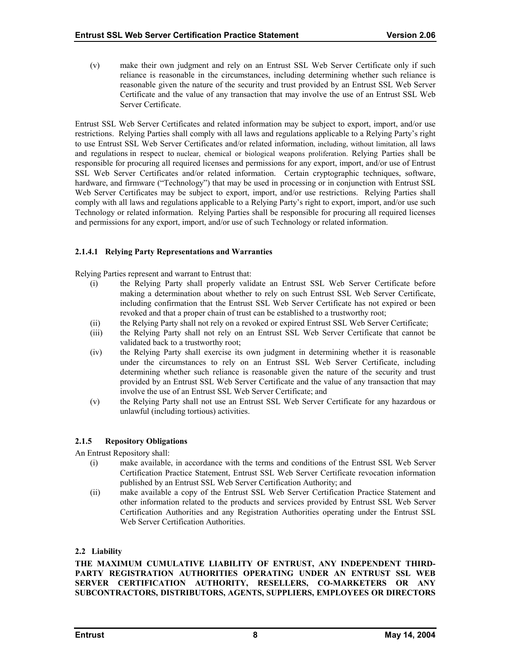<span id="page-12-0"></span>(v) make their own judgment and rely on an Entrust SSL Web Server Certificate only if such reliance is reasonable in the circumstances, including determining whether such reliance is reasonable given the nature of the security and trust provided by an Entrust SSL Web Server Certificate and the value of any transaction that may involve the use of an Entrust SSL Web Server Certificate.

Entrust SSL Web Server Certificates and related information may be subject to export, import, and/or use restrictions. Relying Parties shall comply with all laws and regulations applicable to a Relying Party's right to use Entrust SSL Web Server Certificates and/or related information, including, without limitation, all laws and regulations in respect to nuclear, chemical or biological weapons proliferation. Relying Parties shall be responsible for procuring all required licenses and permissions for any export, import, and/or use of Entrust SSL Web Server Certificates and/or related information. Certain cryptographic techniques, software, hardware, and firmware ("Technology") that may be used in processing or in conjunction with Entrust SSL Web Server Certificates may be subject to export, import, and/or use restrictions. Relying Parties shall comply with all laws and regulations applicable to a Relying Party's right to export, import, and/or use such Technology or related information. Relying Parties shall be responsible for procuring all required licenses and permissions for any export, import, and/or use of such Technology or related information.

# **2.1.4.1 Relying Party Representations and Warranties**

Relying Parties represent and warrant to Entrust that:

- (i) the Relying Party shall properly validate an Entrust SSL Web Server Certificate before making a determination about whether to rely on such Entrust SSL Web Server Certificate, including confirmation that the Entrust SSL Web Server Certificate has not expired or been revoked and that a proper chain of trust can be established to a trustworthy root;
- (ii) the Relying Party shall not rely on a revoked or expired Entrust SSL Web Server Certificate;
- (iii) the Relying Party shall not rely on an Entrust SSL Web Server Certificate that cannot be validated back to a trustworthy root;
- (iv) the Relying Party shall exercise its own judgment in determining whether it is reasonable under the circumstances to rely on an Entrust SSL Web Server Certificate, including determining whether such reliance is reasonable given the nature of the security and trust provided by an Entrust SSL Web Server Certificate and the value of any transaction that may involve the use of an Entrust SSL Web Server Certificate; and
- (v) the Relying Party shall not use an Entrust SSL Web Server Certificate for any hazardous or unlawful (including tortious) activities.

## **2.1.5 Repository Obligations**

An Entrust Repository shall:

- (i) make available, in accordance with the terms and conditions of the Entrust SSL Web Server Certification Practice Statement, Entrust SSL Web Server Certificate revocation information published by an Entrust SSL Web Server Certification Authority; and
- (ii) make available a copy of the Entrust SSL Web Server Certification Practice Statement and other information related to the products and services provided by Entrust SSL Web Server Certification Authorities and any Registration Authorities operating under the Entrust SSL Web Server Certification Authorities.

## **2.2 Liability**

**THE MAXIMUM CUMULATIVE LIABILITY OF ENTRUST, ANY INDEPENDENT THIRD-PARTY REGISTRATION AUTHORITIES OPERATING UNDER AN ENTRUST SSL WEB SERVER CERTIFICATION AUTHORITY, RESELLERS, CO-MARKETERS OR ANY SUBCONTRACTORS, DISTRIBUTORS, AGENTS, SUPPLIERS, EMPLOYEES OR DIRECTORS**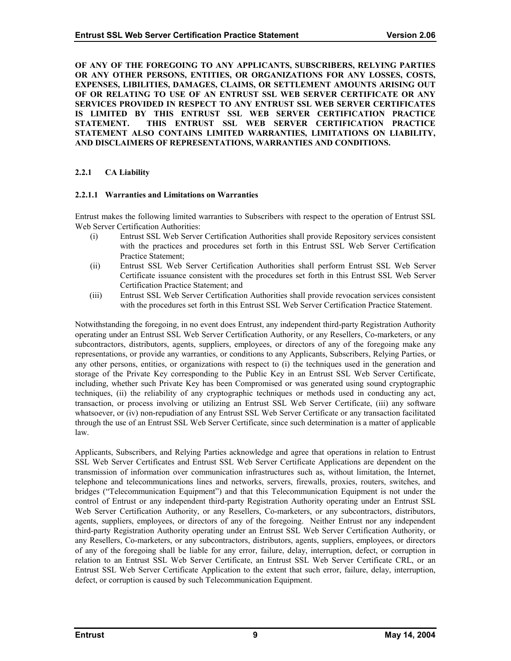<span id="page-13-0"></span>**OF ANY OF THE FOREGOING TO ANY APPLICANTS, SUBSCRIBERS, RELYING PARTIES OR ANY OTHER PERSONS, ENTITIES, OR ORGANIZATIONS FOR ANY LOSSES, COSTS, EXPENSES, LIBILITIES, DAMAGES, CLAIMS, OR SETTLEMENT AMOUNTS ARISING OUT OF OR RELATING TO USE OF AN ENTRUST SSL WEB SERVER CERTIFICATE OR ANY SERVICES PROVIDED IN RESPECT TO ANY ENTRUST SSL WEB SERVER CERTIFICATES IS LIMITED BY THIS ENTRUST SSL WEB SERVER CERTIFICATION PRACTICE STATEMENT. THIS ENTRUST SSL WEB SERVER CERTIFICATION PRACTICE STATEMENT ALSO CONTAINS LIMITED WARRANTIES, LIMITATIONS ON LIABILITY, AND DISCLAIMERS OF REPRESENTATIONS, WARRANTIES AND CONDITIONS.** 

#### **2.2.1 CA Liability**

#### **2.2.1.1 Warranties and Limitations on Warranties**

Entrust makes the following limited warranties to Subscribers with respect to the operation of Entrust SSL Web Server Certification Authorities:

- (i) Entrust SSL Web Server Certification Authorities shall provide Repository services consistent with the practices and procedures set forth in this Entrust SSL Web Server Certification Practice Statement;
- (ii) Entrust SSL Web Server Certification Authorities shall perform Entrust SSL Web Server Certificate issuance consistent with the procedures set forth in this Entrust SSL Web Server Certification Practice Statement; and
- (iii) Entrust SSL Web Server Certification Authorities shall provide revocation services consistent with the procedures set forth in this Entrust SSL Web Server Certification Practice Statement.

Notwithstanding the foregoing, in no event does Entrust, any independent third-party Registration Authority operating under an Entrust SSL Web Server Certification Authority, or any Resellers, Co-marketers, or any subcontractors, distributors, agents, suppliers, employees, or directors of any of the foregoing make any representations, or provide any warranties, or conditions to any Applicants, Subscribers, Relying Parties, or any other persons, entities, or organizations with respect to (i) the techniques used in the generation and storage of the Private Key corresponding to the Public Key in an Entrust SSL Web Server Certificate, including, whether such Private Key has been Compromised or was generated using sound cryptographic techniques, (ii) the reliability of any cryptographic techniques or methods used in conducting any act, transaction, or process involving or utilizing an Entrust SSL Web Server Certificate, (iii) any software whatsoever, or (iv) non-repudiation of any Entrust SSL Web Server Certificate or any transaction facilitated through the use of an Entrust SSL Web Server Certificate, since such determination is a matter of applicable law.

Applicants, Subscribers, and Relying Parties acknowledge and agree that operations in relation to Entrust SSL Web Server Certificates and Entrust SSL Web Server Certificate Applications are dependent on the transmission of information over communication infrastructures such as, without limitation, the Internet, telephone and telecommunications lines and networks, servers, firewalls, proxies, routers, switches, and bridges ("Telecommunication Equipment") and that this Telecommunication Equipment is not under the control of Entrust or any independent third-party Registration Authority operating under an Entrust SSL Web Server Certification Authority, or any Resellers, Co-marketers, or any subcontractors, distributors, agents, suppliers, employees, or directors of any of the foregoing. Neither Entrust nor any independent third-party Registration Authority operating under an Entrust SSL Web Server Certification Authority, or any Resellers, Co-marketers, or any subcontractors, distributors, agents, suppliers, employees, or directors of any of the foregoing shall be liable for any error, failure, delay, interruption, defect, or corruption in relation to an Entrust SSL Web Server Certificate, an Entrust SSL Web Server Certificate CRL, or an Entrust SSL Web Server Certificate Application to the extent that such error, failure, delay, interruption, defect, or corruption is caused by such Telecommunication Equipment.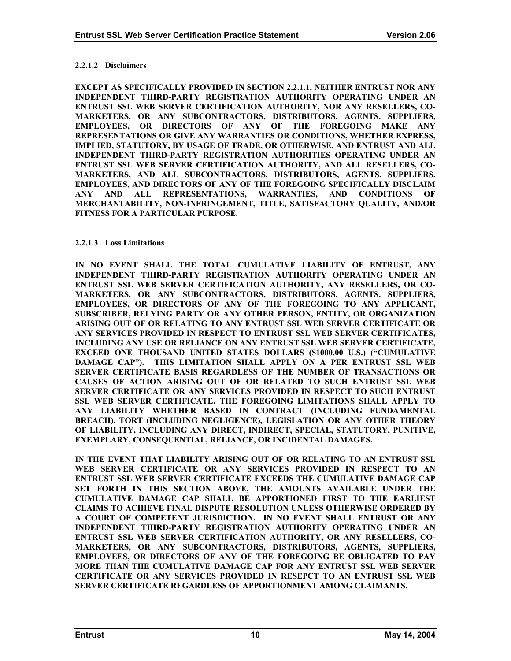#### <span id="page-14-0"></span>**2.2.1.2 Disclaimers**

**EXCEPT AS SPECIFICALLY PROVIDED IN SECTION 2.2.1.1, NEITHER ENTRUST NOR ANY INDEPENDENT THIRD-PARTY REGISTRATION AUTHORITY OPERATING UNDER AN ENTRUST SSL WEB SERVER CERTIFICATION AUTHORITY, NOR ANY RESELLERS, CO-MARKETERS, OR ANY SUBCONTRACTORS, DISTRIBUTORS, AGENTS, SUPPLIERS, EMPLOYEES, OR DIRECTORS OF ANY OF THE FOREGOING MAKE ANY REPRESENTATIONS OR GIVE ANY WARRANTIES OR CONDITIONS, WHETHER EXPRESS, IMPLIED, STATUTORY, BY USAGE OF TRADE, OR OTHERWISE, AND ENTRUST AND ALL INDEPENDENT THIRD-PARTY REGISTRATION AUTHORITIES OPERATING UNDER AN ENTRUST SSL WEB SERVER CERTIFICATION AUTHORITY, AND ALL RESELLERS, CO-MARKETERS, AND ALL SUBCONTRACTORS, DISTRIBUTORS, AGENTS, SUPPLIERS, EMPLOYEES, AND DIRECTORS OF ANY OF THE FOREGOING SPECIFICALLY DISCLAIM ANY AND ALL REPRESENTATIONS, WARRANTIES, AND CONDITIONS OF MERCHANTABILITY, NON-INFRINGEMENT, TITLE, SATISFACTORY QUALITY, AND/OR FITNESS FOR A PARTICULAR PURPOSE.** 

#### **2.2.1.3 Loss Limitations**

**IN NO EVENT SHALL THE TOTAL CUMULATIVE LIABILITY OF ENTRUST, ANY INDEPENDENT THIRD-PARTY REGISTRATION AUTHORITY OPERATING UNDER AN ENTRUST SSL WEB SERVER CERTIFICATION AUTHORITY, ANY RESELLERS, OR CO-MARKETERS, OR ANY SUBCONTRACTORS, DISTRIBUTORS, AGENTS, SUPPLIERS, EMPLOYEES, OR DIRECTORS OF ANY OF THE FOREGOING TO ANY APPLICANT, SUBSCRIBER, RELYING PARTY OR ANY OTHER PERSON, ENTITY, OR ORGANIZATION ARISING OUT OF OR RELATING TO ANY ENTRUST SSL WEB SERVER CERTIFICATE OR ANY SERVICES PROVIDED IN RESPECT TO ENTRUST SSL WEB SERVER CERTIFICATES, INCLUDING ANY USE OR RELIANCE ON ANY ENTRUST SSL WEB SERVER CERTIFICATE, EXCEED ONE THOUSAND UNITED STATES DOLLARS (\$1000.00 U.S.) ("CUMULATIVE DAMAGE CAP"). THIS LIMITATION SHALL APPLY ON A PER ENTRUST SSL WEB SERVER CERTIFICATE BASIS REGARDLESS OF THE NUMBER OF TRANSACTIONS OR CAUSES OF ACTION ARISING OUT OF OR RELATED TO SUCH ENTRUST SSL WEB SERVER CERTIFICATE OR ANY SERVICES PROVIDED IN RESPECT TO SUCH ENTRUST SSL WEB SERVER CERTIFICATE. THE FOREGOING LIMITATIONS SHALL APPLY TO ANY LIABILITY WHETHER BASED IN CONTRACT (INCLUDING FUNDAMENTAL BREACH), TORT (INCLUDING NEGLIGENCE), LEGISLATION OR ANY OTHER THEORY OF LIABILITY, INCLUDING ANY DIRECT, INDIRECT, SPECIAL, STATUTORY, PUNITIVE, EXEMPLARY, CONSEQUENTIAL, RELIANCE, OR INCIDENTAL DAMAGES.** 

**IN THE EVENT THAT LIABILITY ARISING OUT OF OR RELATING TO AN ENTRUST SSL WEB SERVER CERTIFICATE OR ANY SERVICES PROVIDED IN RESPECT TO AN ENTRUST SSL WEB SERVER CERTIFICATE EXCEEDS THE CUMULATIVE DAMAGE CAP SET FORTH IN THIS SECTION ABOVE, THE AMOUNTS AVAILABLE UNDER THE CUMULATIVE DAMAGE CAP SHALL BE APPORTIONED FIRST TO THE EARLIEST CLAIMS TO ACHIEVE FINAL DISPUTE RESOLUTION UNLESS OTHERWISE ORDERED BY A COURT OF COMPETENT JURISDICTION. IN NO EVENT SHALL ENTRUST OR ANY INDEPENDENT THIRD-PARTY REGISTRATION AUTHORITY OPERATING UNDER AN ENTRUST SSL WEB SERVER CERTIFICATION AUTHORITY, OR ANY RESELLERS, CO-MARKETERS, OR ANY SUBCONTRACTORS, DISTRIBUTORS, AGENTS, SUPPLIERS, EMPLOYEES, OR DIRECTORS OF ANY OF THE FOREGOING BE OBLIGATED TO PAY MORE THAN THE CUMULATIVE DAMAGE CAP FOR ANY ENTRUST SSL WEB SERVER CERTIFICATE OR ANY SERVICES PROVIDED IN RESEPCT TO AN ENTRUST SSL WEB SERVER CERTIFICATE REGARDLESS OF APPORTIONMENT AMONG CLAIMANTS.**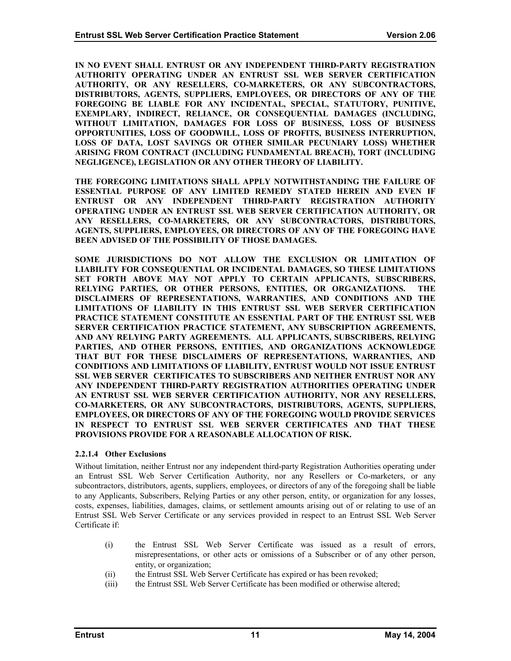<span id="page-15-0"></span>**IN NO EVENT SHALL ENTRUST OR ANY INDEPENDENT THIRD-PARTY REGISTRATION AUTHORITY OPERATING UNDER AN ENTRUST SSL WEB SERVER CERTIFICATION AUTHORITY, OR ANY RESELLERS, CO-MARKETERS, OR ANY SUBCONTRACTORS, DISTRIBUTORS, AGENTS, SUPPLIERS, EMPLOYEES, OR DIRECTORS OF ANY OF THE FOREGOING BE LIABLE FOR ANY INCIDENTAL, SPECIAL, STATUTORY, PUNITIVE, EXEMPLARY, INDIRECT, RELIANCE, OR CONSEQUENTIAL DAMAGES (INCLUDING, WITHOUT LIMITATION, DAMAGES FOR LOSS OF BUSINESS, LOSS OF BUSINESS OPPORTUNITIES, LOSS OF GOODWILL, LOSS OF PROFITS, BUSINESS INTERRUPTION, LOSS OF DATA, LOST SAVINGS OR OTHER SIMILAR PECUNIARY LOSS) WHETHER ARISING FROM CONTRACT (INCLUDING FUNDAMENTAL BREACH), TORT (INCLUDING NEGLIGENCE), LEGISLATION OR ANY OTHER THEORY OF LIABILITY.** 

**THE FOREGOING LIMITATIONS SHALL APPLY NOTWITHSTANDING THE FAILURE OF ESSENTIAL PURPOSE OF ANY LIMITED REMEDY STATED HEREIN AND EVEN IF ENTRUST OR ANY INDEPENDENT THIRD-PARTY REGISTRATION AUTHORITY OPERATING UNDER AN ENTRUST SSL WEB SERVER CERTIFICATION AUTHORITY, OR ANY RESELLERS, CO-MARKETERS, OR ANY SUBCONTRACTORS, DISTRIBUTORS, AGENTS, SUPPLIERS, EMPLOYEES, OR DIRECTORS OF ANY OF THE FOREGOING HAVE BEEN ADVISED OF THE POSSIBILITY OF THOSE DAMAGES.** 

**SOME JURISDICTIONS DO NOT ALLOW THE EXCLUSION OR LIMITATION OF LIABILITY FOR CONSEQUENTIAL OR INCIDENTAL DAMAGES, SO THESE LIMITATIONS SET FORTH ABOVE MAY NOT APPLY TO CERTAIN APPLICANTS, SUBSCRIBERS, RELYING PARTIES, OR OTHER PERSONS, ENTITIES, OR ORGANIZATIONS. THE DISCLAIMERS OF REPRESENTATIONS, WARRANTIES, AND CONDITIONS AND THE LIMITATIONS OF LIABILITY IN THIS ENTRUST SSL WEB SERVER CERTIFICATION PRACTICE STATEMENT CONSTITUTE AN ESSENTIAL PART OF THE ENTRUST SSL WEB SERVER CERTIFICATION PRACTICE STATEMENT, ANY SUBSCRIPTION AGREEMENTS, AND ANY RELYING PARTY AGREEMENTS. ALL APPLICANTS, SUBSCRIBERS, RELYING PARTIES, AND OTHER PERSONS, ENTITIES, AND ORGANIZATIONS ACKNOWLEDGE THAT BUT FOR THESE DISCLAIMERS OF REPRESENTATIONS, WARRANTIES, AND CONDITIONS AND LIMITATIONS OF LIABILITY, ENTRUST WOULD NOT ISSUE ENTRUST SSL WEB SERVER CERTIFICATES TO SUBSCRIBERS AND NEITHER ENTRUST NOR ANY ANY INDEPENDENT THIRD-PARTY REGISTRATION AUTHORITIES OPERATING UNDER AN ENTRUST SSL WEB SERVER CERTIFICATION AUTHORITY, NOR ANY RESELLERS, CO-MARKETERS, OR ANY SUBCONTRACTORS, DISTRIBUTORS, AGENTS, SUPPLIERS, EMPLOYEES, OR DIRECTORS OF ANY OF THE FOREGOING WOULD PROVIDE SERVICES IN RESPECT TO ENTRUST SSL WEB SERVER CERTIFICATES AND THAT THESE PROVISIONS PROVIDE FOR A REASONABLE ALLOCATION OF RISK.** 

#### **2.2.1.4 Other Exclusions**

Without limitation, neither Entrust nor any independent third-party Registration Authorities operating under an Entrust SSL Web Server Certification Authority, nor any Resellers or Co-marketers, or any subcontractors, distributors, agents, suppliers, employees, or directors of any of the foregoing shall be liable to any Applicants, Subscribers, Relying Parties or any other person, entity, or organization for any losses, costs, expenses, liabilities, damages, claims, or settlement amounts arising out of or relating to use of an Entrust SSL Web Server Certificate or any services provided in respect to an Entrust SSL Web Server Certificate if:

- (i) the Entrust SSL Web Server Certificate was issued as a result of errors, misrepresentations, or other acts or omissions of a Subscriber or of any other person, entity, or organization;
- (ii) the Entrust SSL Web Server Certificate has expired or has been revoked;
- (iii) the Entrust SSL Web Server Certificate has been modified or otherwise altered;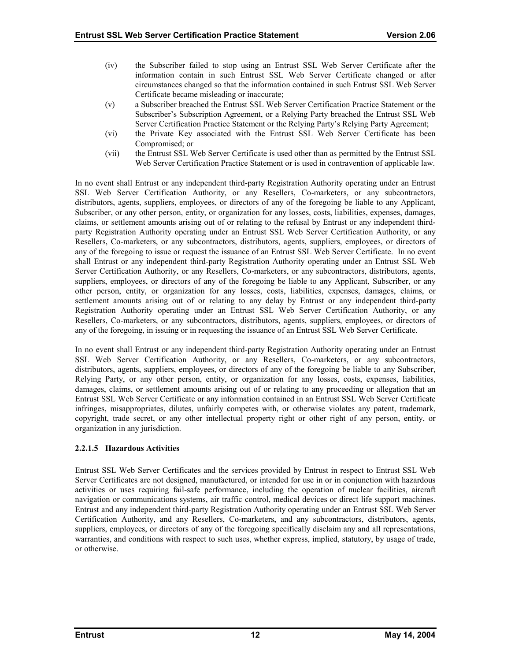- <span id="page-16-0"></span>(iv) the Subscriber failed to stop using an Entrust SSL Web Server Certificate after the information contain in such Entrust SSL Web Server Certificate changed or after circumstances changed so that the information contained in such Entrust SSL Web Server Certificate became misleading or inaccurate;
- (v) a Subscriber breached the Entrust SSL Web Server Certification Practice Statement or the Subscriber's Subscription Agreement, or a Relying Party breached the Entrust SSL Web Server Certification Practice Statement or the Relying Party's Relying Party Agreement;
- (vi) the Private Key associated with the Entrust SSL Web Server Certificate has been Compromised; or
- (vii) the Entrust SSL Web Server Certificate is used other than as permitted by the Entrust SSL Web Server Certification Practice Statement or is used in contravention of applicable law.

In no event shall Entrust or any independent third-party Registration Authority operating under an Entrust SSL Web Server Certification Authority, or any Resellers, Co-marketers, or any subcontractors, distributors, agents, suppliers, employees, or directors of any of the foregoing be liable to any Applicant, Subscriber, or any other person, entity, or organization for any losses, costs, liabilities, expenses, damages, claims, or settlement amounts arising out of or relating to the refusal by Entrust or any independent thirdparty Registration Authority operating under an Entrust SSL Web Server Certification Authority, or any Resellers, Co-marketers, or any subcontractors, distributors, agents, suppliers, employees, or directors of any of the foregoing to issue or request the issuance of an Entrust SSL Web Server Certificate. In no event shall Entrust or any independent third-party Registration Authority operating under an Entrust SSL Web Server Certification Authority, or any Resellers, Co-marketers, or any subcontractors, distributors, agents, suppliers, employees, or directors of any of the foregoing be liable to any Applicant, Subscriber, or any other person, entity, or organization for any losses, costs, liabilities, expenses, damages, claims, or settlement amounts arising out of or relating to any delay by Entrust or any independent third-party Registration Authority operating under an Entrust SSL Web Server Certification Authority, or any Resellers, Co-marketers, or any subcontractors, distributors, agents, suppliers, employees, or directors of any of the foregoing, in issuing or in requesting the issuance of an Entrust SSL Web Server Certificate.

In no event shall Entrust or any independent third-party Registration Authority operating under an Entrust SSL Web Server Certification Authority, or any Resellers, Co-marketers, or any subcontractors, distributors, agents, suppliers, employees, or directors of any of the foregoing be liable to any Subscriber, Relying Party, or any other person, entity, or organization for any losses, costs, expenses, liabilities, damages, claims, or settlement amounts arising out of or relating to any proceeding or allegation that an Entrust SSL Web Server Certificate or any information contained in an Entrust SSL Web Server Certificate infringes, misappropriates, dilutes, unfairly competes with, or otherwise violates any patent, trademark, copyright, trade secret, or any other intellectual property right or other right of any person, entity, or organization in any jurisdiction.

## **2.2.1.5 Hazardous Activities**

Entrust SSL Web Server Certificates and the services provided by Entrust in respect to Entrust SSL Web Server Certificates are not designed, manufactured, or intended for use in or in conjunction with hazardous activities or uses requiring fail-safe performance, including the operation of nuclear facilities, aircraft navigation or communications systems, air traffic control, medical devices or direct life support machines. Entrust and any independent third-party Registration Authority operating under an Entrust SSL Web Server Certification Authority, and any Resellers, Co-marketers, and any subcontractors, distributors, agents, suppliers, employees, or directors of any of the foregoing specifically disclaim any and all representations, warranties, and conditions with respect to such uses, whether express, implied, statutory, by usage of trade, or otherwise.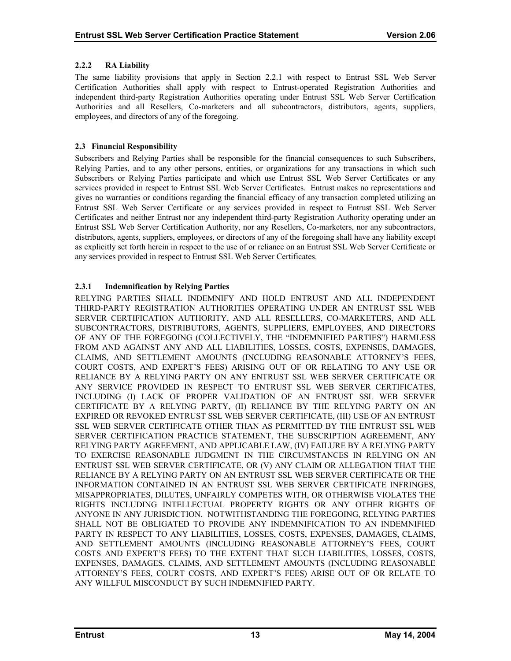## <span id="page-17-0"></span>**2.2.2 RA Liability**

The same liability provisions that apply in Section 2.2.1 with respect to Entrust SSL Web Server Certification Authorities shall apply with respect to Entrust-operated Registration Authorities and independent third-party Registration Authorities operating under Entrust SSL Web Server Certification Authorities and all Resellers, Co-marketers and all subcontractors, distributors, agents, suppliers, employees, and directors of any of the foregoing.

# **2.3 Financial Responsibility**

Subscribers and Relying Parties shall be responsible for the financial consequences to such Subscribers, Relying Parties, and to any other persons, entities, or organizations for any transactions in which such Subscribers or Relying Parties participate and which use Entrust SSL Web Server Certificates or any services provided in respect to Entrust SSL Web Server Certificates. Entrust makes no representations and gives no warranties or conditions regarding the financial efficacy of any transaction completed utilizing an Entrust SSL Web Server Certificate or any services provided in respect to Entrust SSL Web Server Certificates and neither Entrust nor any independent third-party Registration Authority operating under an Entrust SSL Web Server Certification Authority, nor any Resellers, Co-marketers, nor any subcontractors, distributors, agents, suppliers, employees, or directors of any of the foregoing shall have any liability except as explicitly set forth herein in respect to the use of or reliance on an Entrust SSL Web Server Certificate or any services provided in respect to Entrust SSL Web Server Certificates.

# **2.3.1 Indemnification by Relying Parties**

RELYING PARTIES SHALL INDEMNIFY AND HOLD ENTRUST AND ALL INDEPENDENT THIRD-PARTY REGISTRATION AUTHORITIES OPERATING UNDER AN ENTRUST SSL WEB SERVER CERTIFICATION AUTHORITY, AND ALL RESELLERS, CO-MARKETERS, AND ALL SUBCONTRACTORS, DISTRIBUTORS, AGENTS, SUPPLIERS, EMPLOYEES, AND DIRECTORS OF ANY OF THE FOREGOING (COLLECTIVELY, THE "INDEMNIFIED PARTIES") HARMLESS FROM AND AGAINST ANY AND ALL LIABILITIES, LOSSES, COSTS, EXPENSES, DAMAGES, CLAIMS, AND SETTLEMENT AMOUNTS (INCLUDING REASONABLE ATTORNEY'S FEES, COURT COSTS, AND EXPERT'S FEES) ARISING OUT OF OR RELATING TO ANY USE OR RELIANCE BY A RELYING PARTY ON ANY ENTRUST SSL WEB SERVER CERTIFICATE OR ANY SERVICE PROVIDED IN RESPECT TO ENTRUST SSL WEB SERVER CERTIFICATES, INCLUDING (I) LACK OF PROPER VALIDATION OF AN ENTRUST SSL WEB SERVER CERTIFICATE BY A RELYING PARTY, (II) RELIANCE BY THE RELYING PARTY ON AN EXPIRED OR REVOKED ENTRUST SSL WEB SERVER CERTIFICATE, (III) USE OF AN ENTRUST SSL WEB SERVER CERTIFICATE OTHER THAN AS PERMITTED BY THE ENTRUST SSL WEB SERVER CERTIFICATION PRACTICE STATEMENT, THE SUBSCRIPTION AGREEMENT, ANY RELYING PARTY AGREEMENT, AND APPLICABLE LAW, (IV) FAILURE BY A RELYING PARTY TO EXERCISE REASONABLE JUDGMENT IN THE CIRCUMSTANCES IN RELYING ON AN ENTRUST SSL WEB SERVER CERTIFICATE, OR (V) ANY CLAIM OR ALLEGATION THAT THE RELIANCE BY A RELYING PARTY ON AN ENTRUST SSL WEB SERVER CERTIFICATE OR THE INFORMATION CONTAINED IN AN ENTRUST SSL WEB SERVER CERTIFICATE INFRINGES, MISAPPROPRIATES, DILUTES, UNFAIRLY COMPETES WITH, OR OTHERWISE VIOLATES THE RIGHTS INCLUDING INTELLECTUAL PROPERTY RIGHTS OR ANY OTHER RIGHTS OF ANYONE IN ANY JURISDICTION. NOTWITHSTANDING THE FOREGOING, RELYING PARTIES SHALL NOT BE OBLIGATED TO PROVIDE ANY INDEMNIFICATION TO AN INDEMNIFIED PARTY IN RESPECT TO ANY LIABILITIES, LOSSES, COSTS, EXPENSES, DAMAGES, CLAIMS, AND SETTLEMENT AMOUNTS (INCLUDING REASONABLE ATTORNEY'S FEES, COURT COSTS AND EXPERT'S FEES) TO THE EXTENT THAT SUCH LIABILITIES, LOSSES, COSTS, EXPENSES, DAMAGES, CLAIMS, AND SETTLEMENT AMOUNTS (INCLUDING REASONABLE ATTORNEY'S FEES, COURT COSTS, AND EXPERT'S FEES) ARISE OUT OF OR RELATE TO ANY WILLFUL MISCONDUCT BY SUCH INDEMNIFIED PARTY.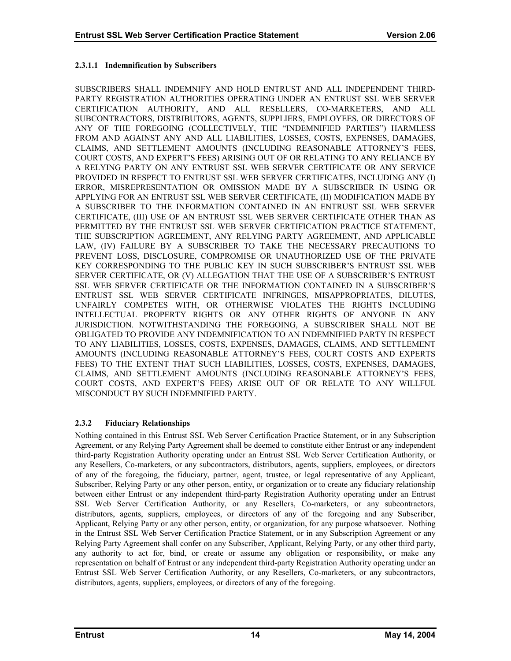## <span id="page-18-0"></span>**2.3.1.1 Indemnification by Subscribers**

SUBSCRIBERS SHALL INDEMNIFY AND HOLD ENTRUST AND ALL INDEPENDENT THIRD-PARTY REGISTRATION AUTHORITIES OPERATING UNDER AN ENTRUST SSL WEB SERVER CERTIFICATION AUTHORITY, AND ALL RESELLERS, CO-MARKETERS, AND ALL SUBCONTRACTORS, DISTRIBUTORS, AGENTS, SUPPLIERS, EMPLOYEES, OR DIRECTORS OF ANY OF THE FOREGOING (COLLECTIVELY, THE "INDEMNIFIED PARTIES") HARMLESS FROM AND AGAINST ANY AND ALL LIABILITIES, LOSSES, COSTS, EXPENSES, DAMAGES, CLAIMS, AND SETTLEMENT AMOUNTS (INCLUDING REASONABLE ATTORNEY'S FEES, COURT COSTS, AND EXPERT'S FEES) ARISING OUT OF OR RELATING TO ANY RELIANCE BY A RELYING PARTY ON ANY ENTRUST SSL WEB SERVER CERTIFICATE OR ANY SERVICE PROVIDED IN RESPECT TO ENTRUST SSL WEB SERVER CERTIFICATES, INCLUDING ANY (I) ERROR, MISREPRESENTATION OR OMISSION MADE BY A SUBSCRIBER IN USING OR APPLYING FOR AN ENTRUST SSL WEB SERVER CERTIFICATE, (II) MODIFICATION MADE BY A SUBSCRIBER TO THE INFORMATION CONTAINED IN AN ENTRUST SSL WEB SERVER CERTIFICATE, (III) USE OF AN ENTRUST SSL WEB SERVER CERTIFICATE OTHER THAN AS PERMITTED BY THE ENTRUST SSL WEB SERVER CERTIFICATION PRACTICE STATEMENT, THE SUBSCRIPTION AGREEMENT, ANY RELYING PARTY AGREEMENT, AND APPLICABLE LAW, (IV) FAILURE BY A SUBSCRIBER TO TAKE THE NECESSARY PRECAUTIONS TO PREVENT LOSS, DISCLOSURE, COMPROMISE OR UNAUTHORIZED USE OF THE PRIVATE KEY CORRESPONDING TO THE PUBLIC KEY IN SUCH SUBSCRIBER'S ENTRUST SSL WEB SERVER CERTIFICATE, OR (V) ALLEGATION THAT THE USE OF A SUBSCRIBER'S ENTRUST SSL WEB SERVER CERTIFICATE OR THE INFORMATION CONTAINED IN A SUBSCRIBER'S ENTRUST SSL WEB SERVER CERTIFICATE INFRINGES, MISAPPROPRIATES, DILUTES, UNFAIRLY COMPETES WITH, OR OTHERWISE VIOLATES THE RIGHTS INCLUDING INTELLECTUAL PROPERTY RIGHTS OR ANY OTHER RIGHTS OF ANYONE IN ANY JURISDICTION. NOTWITHSTANDING THE FOREGOING, A SUBSCRIBER SHALL NOT BE OBLIGATED TO PROVIDE ANY INDEMNIFICATION TO AN INDEMNIFIED PARTY IN RESPECT TO ANY LIABILITIES, LOSSES, COSTS, EXPENSES, DAMAGES, CLAIMS, AND SETTLEMENT AMOUNTS (INCLUDING REASONABLE ATTORNEY'S FEES, COURT COSTS AND EXPERTS FEES) TO THE EXTENT THAT SUCH LIABILITIES, LOSSES, COSTS, EXPENSES, DAMAGES, CLAIMS, AND SETTLEMENT AMOUNTS (INCLUDING REASONABLE ATTORNEY'S FEES, COURT COSTS, AND EXPERT'S FEES) ARISE OUT OF OR RELATE TO ANY WILLFUL MISCONDUCT BY SUCH INDEMNIFIED PARTY.

# **2.3.2 Fiduciary Relationships**

Nothing contained in this Entrust SSL Web Server Certification Practice Statement, or in any Subscription Agreement, or any Relying Party Agreement shall be deemed to constitute either Entrust or any independent third-party Registration Authority operating under an Entrust SSL Web Server Certification Authority, or any Resellers, Co-marketers, or any subcontractors, distributors, agents, suppliers, employees, or directors of any of the foregoing, the fiduciary, partner, agent, trustee, or legal representative of any Applicant, Subscriber, Relying Party or any other person, entity, or organization or to create any fiduciary relationship between either Entrust or any independent third-party Registration Authority operating under an Entrust SSL Web Server Certification Authority, or any Resellers, Co-marketers, or any subcontractors, distributors, agents, suppliers, employees, or directors of any of the foregoing and any Subscriber, Applicant, Relying Party or any other person, entity, or organization, for any purpose whatsoever. Nothing in the Entrust SSL Web Server Certification Practice Statement, or in any Subscription Agreement or any Relying Party Agreement shall confer on any Subscriber, Applicant, Relying Party, or any other third party, any authority to act for, bind, or create or assume any obligation or responsibility, or make any representation on behalf of Entrust or any independent third-party Registration Authority operating under an Entrust SSL Web Server Certification Authority, or any Resellers, Co-marketers, or any subcontractors, distributors, agents, suppliers, employees, or directors of any of the foregoing.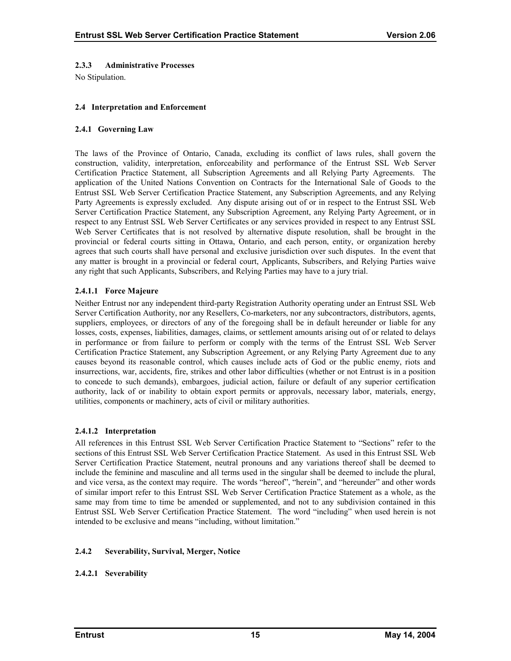#### <span id="page-19-0"></span>**2.3.3 Administrative Processes**

No Stipulation.

#### **2.4 Interpretation and Enforcement**

#### **2.4.1 Governing Law**

The laws of the Province of Ontario, Canada, excluding its conflict of laws rules, shall govern the construction, validity, interpretation, enforceability and performance of the Entrust SSL Web Server Certification Practice Statement, all Subscription Agreements and all Relying Party Agreements. The application of the United Nations Convention on Contracts for the International Sale of Goods to the Entrust SSL Web Server Certification Practice Statement, any Subscription Agreements, and any Relying Party Agreements is expressly excluded. Any dispute arising out of or in respect to the Entrust SSL Web Server Certification Practice Statement, any Subscription Agreement, any Relying Party Agreement, or in respect to any Entrust SSL Web Server Certificates or any services provided in respect to any Entrust SSL Web Server Certificates that is not resolved by alternative dispute resolution, shall be brought in the provincial or federal courts sitting in Ottawa, Ontario, and each person, entity, or organization hereby agrees that such courts shall have personal and exclusive jurisdiction over such disputes. In the event that any matter is brought in a provincial or federal court, Applicants, Subscribers, and Relying Parties waive any right that such Applicants, Subscribers, and Relying Parties may have to a jury trial.

## **2.4.1.1 Force Majeure**

Neither Entrust nor any independent third-party Registration Authority operating under an Entrust SSL Web Server Certification Authority, nor any Resellers, Co-marketers, nor any subcontractors, distributors, agents, suppliers, employees, or directors of any of the foregoing shall be in default hereunder or liable for any losses, costs, expenses, liabilities, damages, claims, or settlement amounts arising out of or related to delays in performance or from failure to perform or comply with the terms of the Entrust SSL Web Server Certification Practice Statement, any Subscription Agreement, or any Relying Party Agreement due to any causes beyond its reasonable control, which causes include acts of God or the public enemy, riots and insurrections, war, accidents, fire, strikes and other labor difficulties (whether or not Entrust is in a position to concede to such demands), embargoes, judicial action, failure or default of any superior certification authority, lack of or inability to obtain export permits or approvals, necessary labor, materials, energy, utilities, components or machinery, acts of civil or military authorities.

#### **2.4.1.2 Interpretation**

All references in this Entrust SSL Web Server Certification Practice Statement to "Sections" refer to the sections of this Entrust SSL Web Server Certification Practice Statement. As used in this Entrust SSL Web Server Certification Practice Statement, neutral pronouns and any variations thereof shall be deemed to include the feminine and masculine and all terms used in the singular shall be deemed to include the plural, and vice versa, as the context may require. The words "hereof", "herein", and "hereunder" and other words of similar import refer to this Entrust SSL Web Server Certification Practice Statement as a whole, as the same may from time to time be amended or supplemented, and not to any subdivision contained in this Entrust SSL Web Server Certification Practice Statement. The word "including" when used herein is not intended to be exclusive and means "including, without limitation."

## **2.4.2 Severability, Survival, Merger, Notice**

## **2.4.2.1 Severability**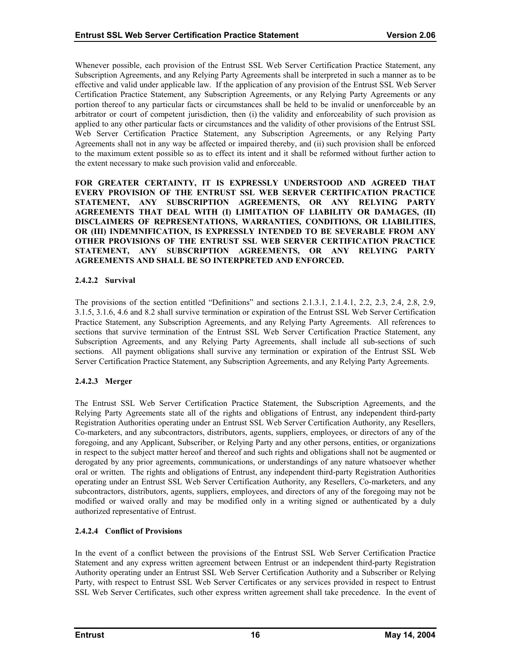Whenever possible, each provision of the Entrust SSL Web Server Certification Practice Statement, any Subscription Agreements, and any Relying Party Agreements shall be interpreted in such a manner as to be effective and valid under applicable law. If the application of any provision of the Entrust SSL Web Server Certification Practice Statement, any Subscription Agreements, or any Relying Party Agreements or any portion thereof to any particular facts or circumstances shall be held to be invalid or unenforceable by an arbitrator or court of competent jurisdiction, then (i) the validity and enforceability of such provision as applied to any other particular facts or circumstances and the validity of other provisions of the Entrust SSL Web Server Certification Practice Statement, any Subscription Agreements, or any Relying Party Agreements shall not in any way be affected or impaired thereby, and (ii) such provision shall be enforced to the maximum extent possible so as to effect its intent and it shall be reformed without further action to the extent necessary to make such provision valid and enforceable.

**FOR GREATER CERTAINTY, IT IS EXPRESSLY UNDERSTOOD AND AGREED THAT EVERY PROVISION OF THE ENTRUST SSL WEB SERVER CERTIFICATION PRACTICE STATEMENT, ANY SUBSCRIPTION AGREEMENTS, OR ANY RELYING PARTY AGREEMENTS THAT DEAL WITH (I) LIMITATION OF LIABILITY OR DAMAGES, (II) DISCLAIMERS OF REPRESENTATIONS, WARRANTIES, CONDITIONS, OR LIABILITIES, OR (III) INDEMNIFICATION, IS EXPRESSLY INTENDED TO BE SEVERABLE FROM ANY OTHER PROVISIONS OF THE ENTRUST SSL WEB SERVER CERTIFICATION PRACTICE STATEMENT, ANY SUBSCRIPTION AGREEMENTS, OR ANY RELYING PARTY AGREEMENTS AND SHALL BE SO INTERPRETED AND ENFORCED.** 

## **2.4.2.2 Survival**

The provisions of the section entitled "Definitions" and sections 2.1.3.1, 2.1.4.1, 2.2, 2.3, 2.4, 2.8, 2.9, 3.1.5, 3.1.6, 4.6 and 8.2 shall survive termination or expiration of the Entrust SSL Web Server Certification Practice Statement, any Subscription Agreements, and any Relying Party Agreements. All references to sections that survive termination of the Entrust SSL Web Server Certification Practice Statement, any Subscription Agreements, and any Relying Party Agreements, shall include all sub-sections of such sections. All payment obligations shall survive any termination or expiration of the Entrust SSL Web Server Certification Practice Statement, any Subscription Agreements, and any Relying Party Agreements.

# **2.4.2.3 Merger**

The Entrust SSL Web Server Certification Practice Statement, the Subscription Agreements, and the Relying Party Agreements state all of the rights and obligations of Entrust, any independent third-party Registration Authorities operating under an Entrust SSL Web Server Certification Authority, any Resellers, Co-marketers, and any subcontractors, distributors, agents, suppliers, employees, or directors of any of the foregoing, and any Applicant, Subscriber, or Relying Party and any other persons, entities, or organizations in respect to the subject matter hereof and thereof and such rights and obligations shall not be augmented or derogated by any prior agreements, communications, or understandings of any nature whatsoever whether oral or written. The rights and obligations of Entrust, any independent third-party Registration Authorities operating under an Entrust SSL Web Server Certification Authority, any Resellers, Co-marketers, and any subcontractors, distributors, agents, suppliers, employees, and directors of any of the foregoing may not be modified or waived orally and may be modified only in a writing signed or authenticated by a duly authorized representative of Entrust.

## **2.4.2.4 Conflict of Provisions**

In the event of a conflict between the provisions of the Entrust SSL Web Server Certification Practice Statement and any express written agreement between Entrust or an independent third-party Registration Authority operating under an Entrust SSL Web Server Certification Authority and a Subscriber or Relying Party, with respect to Entrust SSL Web Server Certificates or any services provided in respect to Entrust SSL Web Server Certificates, such other express written agreement shall take precedence. In the event of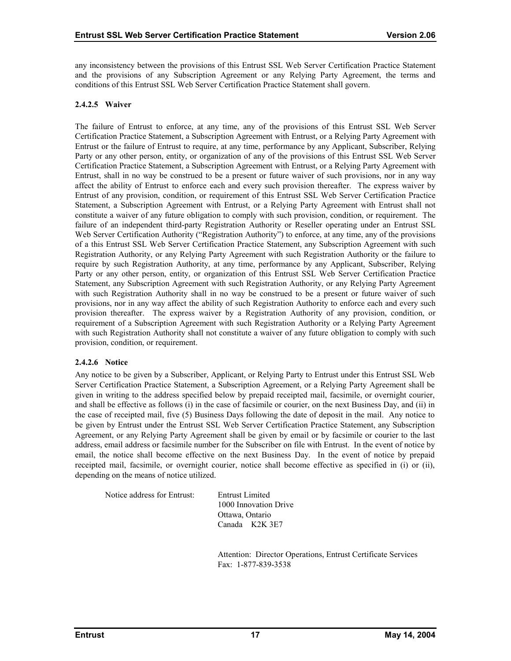any inconsistency between the provisions of this Entrust SSL Web Server Certification Practice Statement and the provisions of any Subscription Agreement or any Relying Party Agreement, the terms and conditions of this Entrust SSL Web Server Certification Practice Statement shall govern.

## **2.4.2.5 Waiver**

The failure of Entrust to enforce, at any time, any of the provisions of this Entrust SSL Web Server Certification Practice Statement, a Subscription Agreement with Entrust, or a Relying Party Agreement with Entrust or the failure of Entrust to require, at any time, performance by any Applicant, Subscriber, Relying Party or any other person, entity, or organization of any of the provisions of this Entrust SSL Web Server Certification Practice Statement, a Subscription Agreement with Entrust, or a Relying Party Agreement with Entrust, shall in no way be construed to be a present or future waiver of such provisions, nor in any way affect the ability of Entrust to enforce each and every such provision thereafter. The express waiver by Entrust of any provision, condition, or requirement of this Entrust SSL Web Server Certification Practice Statement, a Subscription Agreement with Entrust, or a Relying Party Agreement with Entrust shall not constitute a waiver of any future obligation to comply with such provision, condition, or requirement. The failure of an independent third-party Registration Authority or Reseller operating under an Entrust SSL Web Server Certification Authority ("Registration Authority") to enforce, at any time, any of the provisions of a this Entrust SSL Web Server Certification Practice Statement, any Subscription Agreement with such Registration Authority, or any Relying Party Agreement with such Registration Authority or the failure to require by such Registration Authority, at any time, performance by any Applicant, Subscriber, Relying Party or any other person, entity, or organization of this Entrust SSL Web Server Certification Practice Statement, any Subscription Agreement with such Registration Authority, or any Relying Party Agreement with such Registration Authority shall in no way be construed to be a present or future waiver of such provisions, nor in any way affect the ability of such Registration Authority to enforce each and every such provision thereafter. The express waiver by a Registration Authority of any provision, condition, or requirement of a Subscription Agreement with such Registration Authority or a Relying Party Agreement with such Registration Authority shall not constitute a waiver of any future obligation to comply with such provision, condition, or requirement.

## **2.4.2.6 Notice**

Any notice to be given by a Subscriber, Applicant, or Relying Party to Entrust under this Entrust SSL Web Server Certification Practice Statement, a Subscription Agreement, or a Relying Party Agreement shall be given in writing to the address specified below by prepaid receipted mail, facsimile, or overnight courier, and shall be effective as follows (i) in the case of facsimile or courier, on the next Business Day, and (ii) in the case of receipted mail, five (5) Business Days following the date of deposit in the mail. Any notice to be given by Entrust under the Entrust SSL Web Server Certification Practice Statement, any Subscription Agreement, or any Relying Party Agreement shall be given by email or by facsimile or courier to the last address, email address or facsimile number for the Subscriber on file with Entrust. In the event of notice by email, the notice shall become effective on the next Business Day. In the event of notice by prepaid receipted mail, facsimile, or overnight courier, notice shall become effective as specified in (i) or (ii), depending on the means of notice utilized.

Notice address for Entrust: Entrust Limited

1000 Innovation Drive Ottawa, Ontario Canada K2K 3E7

 Attention: Director Operations, Entrust Certificate Services Fax: 1-877-839-3538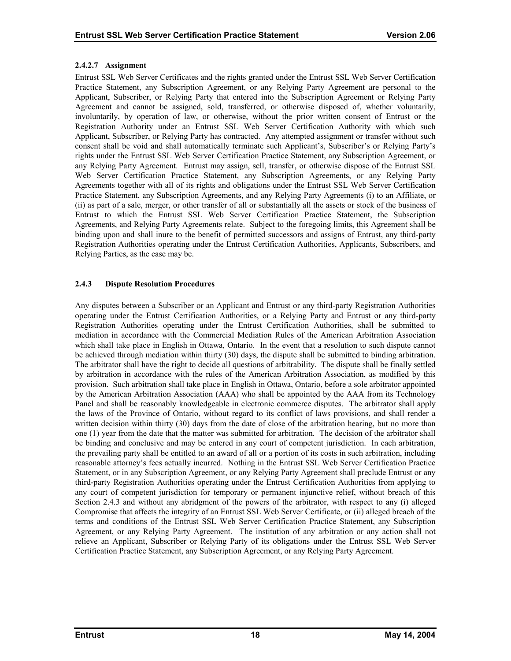#### <span id="page-22-0"></span>**2.4.2.7 Assignment**

Entrust SSL Web Server Certificates and the rights granted under the Entrust SSL Web Server Certification Practice Statement, any Subscription Agreement, or any Relying Party Agreement are personal to the Applicant, Subscriber, or Relying Party that entered into the Subscription Agreement or Relying Party Agreement and cannot be assigned, sold, transferred, or otherwise disposed of, whether voluntarily, involuntarily, by operation of law, or otherwise, without the prior written consent of Entrust or the Registration Authority under an Entrust SSL Web Server Certification Authority with which such Applicant, Subscriber, or Relying Party has contracted. Any attempted assignment or transfer without such consent shall be void and shall automatically terminate such Applicant's, Subscriber's or Relying Party's rights under the Entrust SSL Web Server Certification Practice Statement, any Subscription Agreement, or any Relying Party Agreement. Entrust may assign, sell, transfer, or otherwise dispose of the Entrust SSL Web Server Certification Practice Statement, any Subscription Agreements, or any Relying Party Agreements together with all of its rights and obligations under the Entrust SSL Web Server Certification Practice Statement, any Subscription Agreements, and any Relying Party Agreements (i) to an Affiliate, or (ii) as part of a sale, merger, or other transfer of all or substantially all the assets or stock of the business of Entrust to which the Entrust SSL Web Server Certification Practice Statement, the Subscription Agreements, and Relying Party Agreements relate. Subject to the foregoing limits, this Agreement shall be binding upon and shall inure to the benefit of permitted successors and assigns of Entrust, any third-party Registration Authorities operating under the Entrust Certification Authorities, Applicants, Subscribers, and Relying Parties, as the case may be.

#### **2.4.3 Dispute Resolution Procedures**

Any disputes between a Subscriber or an Applicant and Entrust or any third-party Registration Authorities operating under the Entrust Certification Authorities, or a Relying Party and Entrust or any third-party Registration Authorities operating under the Entrust Certification Authorities, shall be submitted to mediation in accordance with the Commercial Mediation Rules of the American Arbitration Association which shall take place in English in Ottawa, Ontario. In the event that a resolution to such dispute cannot be achieved through mediation within thirty (30) days, the dispute shall be submitted to binding arbitration. The arbitrator shall have the right to decide all questions of arbitrability. The dispute shall be finally settled by arbitration in accordance with the rules of the American Arbitration Association, as modified by this provision. Such arbitration shall take place in English in Ottawa, Ontario, before a sole arbitrator appointed by the American Arbitration Association (AAA) who shall be appointed by the AAA from its Technology Panel and shall be reasonably knowledgeable in electronic commerce disputes. The arbitrator shall apply the laws of the Province of Ontario, without regard to its conflict of laws provisions, and shall render a written decision within thirty (30) days from the date of close of the arbitration hearing, but no more than one (1) year from the date that the matter was submitted for arbitration. The decision of the arbitrator shall be binding and conclusive and may be entered in any court of competent jurisdiction. In each arbitration, the prevailing party shall be entitled to an award of all or a portion of its costs in such arbitration, including reasonable attorney's fees actually incurred. Nothing in the Entrust SSL Web Server Certification Practice Statement, or in any Subscription Agreement, or any Relying Party Agreement shall preclude Entrust or any third-party Registration Authorities operating under the Entrust Certification Authorities from applying to any court of competent jurisdiction for temporary or permanent injunctive relief, without breach of this Section 2.4.3 and without any abridgment of the powers of the arbitrator, with respect to any (i) alleged Compromise that affects the integrity of an Entrust SSL Web Server Certificate, or (ii) alleged breach of the terms and conditions of the Entrust SSL Web Server Certification Practice Statement, any Subscription Agreement, or any Relying Party Agreement. The institution of any arbitration or any action shall not relieve an Applicant, Subscriber or Relying Party of its obligations under the Entrust SSL Web Server Certification Practice Statement, any Subscription Agreement, or any Relying Party Agreement.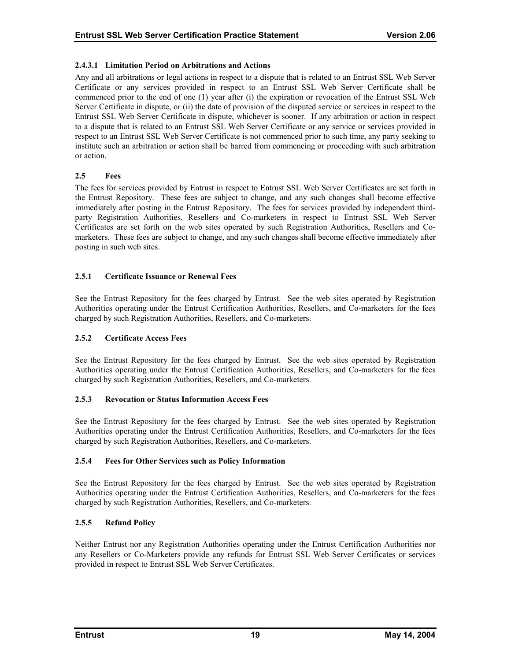## <span id="page-23-0"></span>**2.4.3.1 Limitation Period on Arbitrations and Actions**

Any and all arbitrations or legal actions in respect to a dispute that is related to an Entrust SSL Web Server Certificate or any services provided in respect to an Entrust SSL Web Server Certificate shall be commenced prior to the end of one (1) year after (i) the expiration or revocation of the Entrust SSL Web Server Certificate in dispute, or (ii) the date of provision of the disputed service or services in respect to the Entrust SSL Web Server Certificate in dispute, whichever is sooner. If any arbitration or action in respect to a dispute that is related to an Entrust SSL Web Server Certificate or any service or services provided in respect to an Entrust SSL Web Server Certificate is not commenced prior to such time, any party seeking to institute such an arbitration or action shall be barred from commencing or proceeding with such arbitration or action.

#### **2.5 Fees**

The fees for services provided by Entrust in respect to Entrust SSL Web Server Certificates are set forth in the Entrust Repository. These fees are subject to change, and any such changes shall become effective immediately after posting in the Entrust Repository. The fees for services provided by independent thirdparty Registration Authorities, Resellers and Co-marketers in respect to Entrust SSL Web Server Certificates are set forth on the web sites operated by such Registration Authorities, Resellers and Comarketers. These fees are subject to change, and any such changes shall become effective immediately after posting in such web sites.

#### **2.5.1 Certificate Issuance or Renewal Fees**

See the Entrust Repository for the fees charged by Entrust. See the web sites operated by Registration Authorities operating under the Entrust Certification Authorities, Resellers, and Co-marketers for the fees charged by such Registration Authorities, Resellers, and Co-marketers.

## **2.5.2 Certificate Access Fees**

See the Entrust Repository for the fees charged by Entrust. See the web sites operated by Registration Authorities operating under the Entrust Certification Authorities, Resellers, and Co-marketers for the fees charged by such Registration Authorities, Resellers, and Co-marketers.

## **2.5.3 Revocation or Status Information Access Fees**

See the Entrust Repository for the fees charged by Entrust. See the web sites operated by Registration Authorities operating under the Entrust Certification Authorities, Resellers, and Co-marketers for the fees charged by such Registration Authorities, Resellers, and Co-marketers.

#### **2.5.4 Fees for Other Services such as Policy Information**

See the Entrust Repository for the fees charged by Entrust. See the web sites operated by Registration Authorities operating under the Entrust Certification Authorities, Resellers, and Co-marketers for the fees charged by such Registration Authorities, Resellers, and Co-marketers.

#### **2.5.5 Refund Policy**

Neither Entrust nor any Registration Authorities operating under the Entrust Certification Authorities nor any Resellers or Co-Marketers provide any refunds for Entrust SSL Web Server Certificates or services provided in respect to Entrust SSL Web Server Certificates.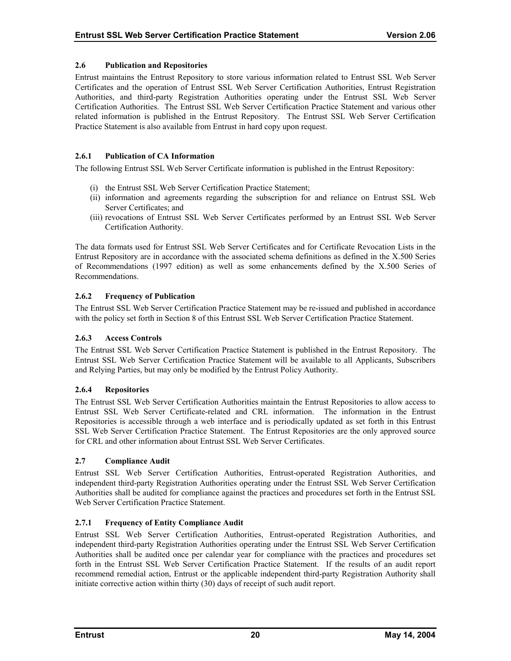#### <span id="page-24-0"></span>**2.6 Publication and Repositories**

Entrust maintains the Entrust Repository to store various information related to Entrust SSL Web Server Certificates and the operation of Entrust SSL Web Server Certification Authorities, Entrust Registration Authorities, and third-party Registration Authorities operating under the Entrust SSL Web Server Certification Authorities. The Entrust SSL Web Server Certification Practice Statement and various other related information is published in the Entrust Repository. The Entrust SSL Web Server Certification Practice Statement is also available from Entrust in hard copy upon request.

## **2.6.1 Publication of CA Information**

The following Entrust SSL Web Server Certificate information is published in the Entrust Repository:

- (i) the Entrust SSL Web Server Certification Practice Statement;
- (ii) information and agreements regarding the subscription for and reliance on Entrust SSL Web Server Certificates; and
- (iii) revocations of Entrust SSL Web Server Certificates performed by an Entrust SSL Web Server Certification Authority.

The data formats used for Entrust SSL Web Server Certificates and for Certificate Revocation Lists in the Entrust Repository are in accordance with the associated schema definitions as defined in the X.500 Series of Recommendations (1997 edition) as well as some enhancements defined by the X.500 Series of Recommendations.

## **2.6.2 Frequency of Publication**

The Entrust SSL Web Server Certification Practice Statement may be re-issued and published in accordance with the policy set forth in Section 8 of this Entrust SSL Web Server Certification Practice Statement.

## **2.6.3 Access Controls**

The Entrust SSL Web Server Certification Practice Statement is published in the Entrust Repository. The Entrust SSL Web Server Certification Practice Statement will be available to all Applicants, Subscribers and Relying Parties, but may only be modified by the Entrust Policy Authority.

## **2.6.4 Repositories**

The Entrust SSL Web Server Certification Authorities maintain the Entrust Repositories to allow access to Entrust SSL Web Server Certificate-related and CRL information. The information in the Entrust Repositories is accessible through a web interface and is periodically updated as set forth in this Entrust SSL Web Server Certification Practice Statement. The Entrust Repositories are the only approved source for CRL and other information about Entrust SSL Web Server Certificates.

## **2.7 Compliance Audit**

Entrust SSL Web Server Certification Authorities, Entrust-operated Registration Authorities, and independent third-party Registration Authorities operating under the Entrust SSL Web Server Certification Authorities shall be audited for compliance against the practices and procedures set forth in the Entrust SSL Web Server Certification Practice Statement.

#### **2.7.1 Frequency of Entity Compliance Audit**

Entrust SSL Web Server Certification Authorities, Entrust-operated Registration Authorities, and independent third-party Registration Authorities operating under the Entrust SSL Web Server Certification Authorities shall be audited once per calendar year for compliance with the practices and procedures set forth in the Entrust SSL Web Server Certification Practice Statement. If the results of an audit report recommend remedial action, Entrust or the applicable independent third-party Registration Authority shall initiate corrective action within thirty (30) days of receipt of such audit report.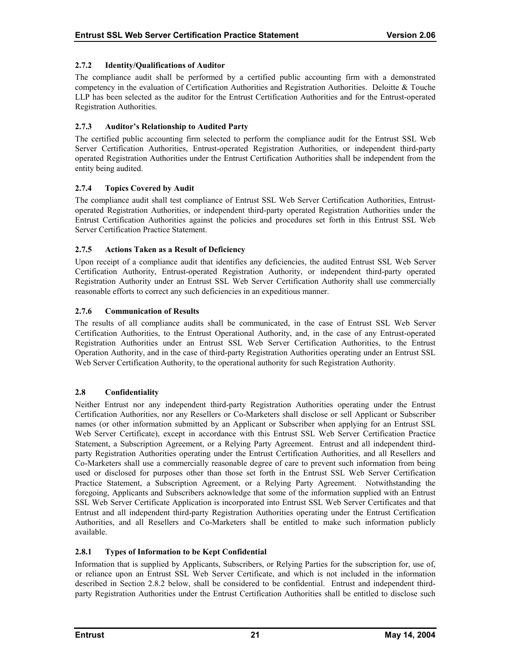## <span id="page-25-0"></span>**2.7.2 Identity/Qualifications of Auditor**

The compliance audit shall be performed by a certified public accounting firm with a demonstrated competency in the evaluation of Certification Authorities and Registration Authorities. Deloitte & Touche LLP has been selected as the auditor for the Entrust Certification Authorities and for the Entrust-operated Registration Authorities.

## **2.7.3 Auditor's Relationship to Audited Party**

The certified public accounting firm selected to perform the compliance audit for the Entrust SSL Web Server Certification Authorities, Entrust-operated Registration Authorities, or independent third-party operated Registration Authorities under the Entrust Certification Authorities shall be independent from the entity being audited.

# **2.7.4 Topics Covered by Audit**

The compliance audit shall test compliance of Entrust SSL Web Server Certification Authorities, Entrustoperated Registration Authorities, or independent third-party operated Registration Authorities under the Entrust Certification Authorities against the policies and procedures set forth in this Entrust SSL Web Server Certification Practice Statement.

## **2.7.5 Actions Taken as a Result of Deficiency**

Upon receipt of a compliance audit that identifies any deficiencies, the audited Entrust SSL Web Server Certification Authority, Entrust-operated Registration Authority, or independent third-party operated Registration Authority under an Entrust SSL Web Server Certification Authority shall use commercially reasonable efforts to correct any such deficiencies in an expeditious manner.

# **2.7.6 Communication of Results**

The results of all compliance audits shall be communicated, in the case of Entrust SSL Web Server Certification Authorities, to the Entrust Operational Authority, and, in the case of any Entrust-operated Registration Authorities under an Entrust SSL Web Server Certification Authorities, to the Entrust Operation Authority, and in the case of third-party Registration Authorities operating under an Entrust SSL Web Server Certification Authority, to the operational authority for such Registration Authority.

## **2.8 Confidentiality**

Neither Entrust nor any independent third-party Registration Authorities operating under the Entrust Certification Authorities, nor any Resellers or Co-Marketers shall disclose or sell Applicant or Subscriber names (or other information submitted by an Applicant or Subscriber when applying for an Entrust SSL Web Server Certificate), except in accordance with this Entrust SSL Web Server Certification Practice Statement, a Subscription Agreement, or a Relying Party Agreement. Entrust and all independent thirdparty Registration Authorities operating under the Entrust Certification Authorities, and all Resellers and Co-Marketers shall use a commercially reasonable degree of care to prevent such information from being used or disclosed for purposes other than those set forth in the Entrust SSL Web Server Certification Practice Statement, a Subscription Agreement, or a Relying Party Agreement. Notwithstanding the foregoing, Applicants and Subscribers acknowledge that some of the information supplied with an Entrust SSL Web Server Certificate Application is incorporated into Entrust SSL Web Server Certificates and that Entrust and all independent third-party Registration Authorities operating under the Entrust Certification Authorities, and all Resellers and Co-Marketers shall be entitled to make such information publicly available.

## **2.8.1 Types of Information to be Kept Confidential**

Information that is supplied by Applicants, Subscribers, or Relying Parties for the subscription for, use of, or reliance upon an Entrust SSL Web Server Certificate, and which is not included in the information described in Section 2.8.2 below, shall be considered to be confidential. Entrust and independent thirdparty Registration Authorities under the Entrust Certification Authorities shall be entitled to disclose such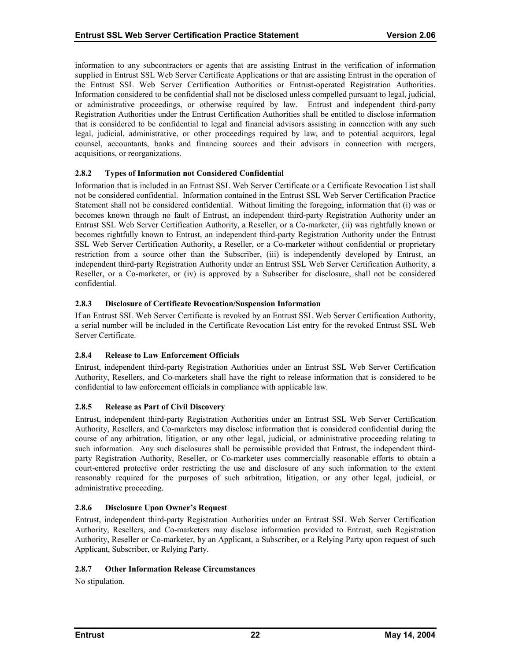<span id="page-26-0"></span>information to any subcontractors or agents that are assisting Entrust in the verification of information supplied in Entrust SSL Web Server Certificate Applications or that are assisting Entrust in the operation of the Entrust SSL Web Server Certification Authorities or Entrust-operated Registration Authorities. Information considered to be confidential shall not be disclosed unless compelled pursuant to legal, judicial, or administrative proceedings, or otherwise required by law. Entrust and independent third-party Registration Authorities under the Entrust Certification Authorities shall be entitled to disclose information that is considered to be confidential to legal and financial advisors assisting in connection with any such legal, judicial, administrative, or other proceedings required by law, and to potential acquirors, legal counsel, accountants, banks and financing sources and their advisors in connection with mergers, acquisitions, or reorganizations.

#### **2.8.2 Types of Information not Considered Confidential**

Information that is included in an Entrust SSL Web Server Certificate or a Certificate Revocation List shall not be considered confidential. Information contained in the Entrust SSL Web Server Certification Practice Statement shall not be considered confidential. Without limiting the foregoing, information that (i) was or becomes known through no fault of Entrust, an independent third-party Registration Authority under an Entrust SSL Web Server Certification Authority, a Reseller, or a Co-marketer, (ii) was rightfully known or becomes rightfully known to Entrust, an independent third-party Registration Authority under the Entrust SSL Web Server Certification Authority, a Reseller, or a Co-marketer without confidential or proprietary restriction from a source other than the Subscriber, (iii) is independently developed by Entrust, an independent third-party Registration Authority under an Entrust SSL Web Server Certification Authority, a Reseller, or a Co-marketer, or (iv) is approved by a Subscriber for disclosure, shall not be considered confidential.

#### **2.8.3 Disclosure of Certificate Revocation/Suspension Information**

If an Entrust SSL Web Server Certificate is revoked by an Entrust SSL Web Server Certification Authority, a serial number will be included in the Certificate Revocation List entry for the revoked Entrust SSL Web Server Certificate.

## **2.8.4 Release to Law Enforcement Officials**

Entrust, independent third-party Registration Authorities under an Entrust SSL Web Server Certification Authority, Resellers, and Co-marketers shall have the right to release information that is considered to be confidential to law enforcement officials in compliance with applicable law.

#### **2.8.5 Release as Part of Civil Discovery**

Entrust, independent third-party Registration Authorities under an Entrust SSL Web Server Certification Authority, Resellers, and Co-marketers may disclose information that is considered confidential during the course of any arbitration, litigation, or any other legal, judicial, or administrative proceeding relating to such information. Any such disclosures shall be permissible provided that Entrust, the independent thirdparty Registration Authority, Reseller, or Co-marketer uses commercially reasonable efforts to obtain a court-entered protective order restricting the use and disclosure of any such information to the extent reasonably required for the purposes of such arbitration, litigation, or any other legal, judicial, or administrative proceeding.

#### **2.8.6 Disclosure Upon Owner's Request**

Entrust, independent third-party Registration Authorities under an Entrust SSL Web Server Certification Authority, Resellers, and Co-marketers may disclose information provided to Entrust, such Registration Authority, Reseller or Co-marketer, by an Applicant, a Subscriber, or a Relying Party upon request of such Applicant, Subscriber, or Relying Party.

#### **2.8.7 Other Information Release Circumstances**

No stipulation.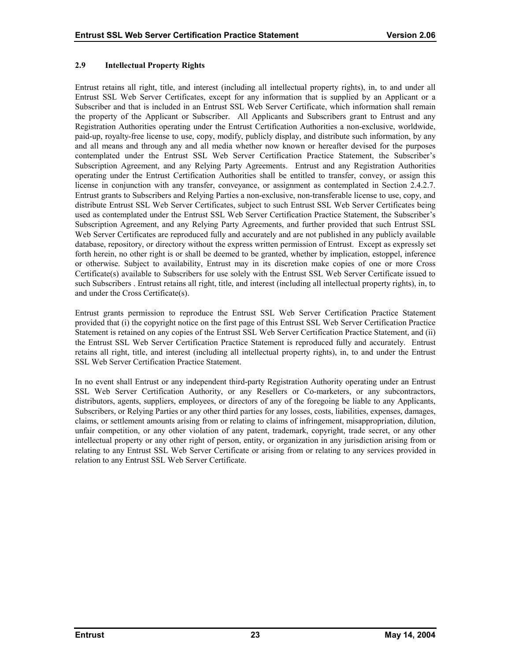## <span id="page-27-0"></span>**2.9 Intellectual Property Rights**

Entrust retains all right, title, and interest (including all intellectual property rights), in, to and under all Entrust SSL Web Server Certificates, except for any information that is supplied by an Applicant or a Subscriber and that is included in an Entrust SSL Web Server Certificate, which information shall remain the property of the Applicant or Subscriber. All Applicants and Subscribers grant to Entrust and any Registration Authorities operating under the Entrust Certification Authorities a non-exclusive, worldwide, paid-up, royalty-free license to use, copy, modify, publicly display, and distribute such information, by any and all means and through any and all media whether now known or hereafter devised for the purposes contemplated under the Entrust SSL Web Server Certification Practice Statement, the Subscriber's Subscription Agreement, and any Relying Party Agreements. Entrust and any Registration Authorities operating under the Entrust Certification Authorities shall be entitled to transfer, convey, or assign this license in conjunction with any transfer, conveyance, or assignment as contemplated in Section 2.4.2.7. Entrust grants to Subscribers and Relying Parties a non-exclusive, non-transferable license to use, copy, and distribute Entrust SSL Web Server Certificates, subject to such Entrust SSL Web Server Certificates being used as contemplated under the Entrust SSL Web Server Certification Practice Statement, the Subscriber's Subscription Agreement, and any Relying Party Agreements, and further provided that such Entrust SSL Web Server Certificates are reproduced fully and accurately and are not published in any publicly available database, repository, or directory without the express written permission of Entrust. Except as expressly set forth herein, no other right is or shall be deemed to be granted, whether by implication, estoppel, inference or otherwise. Subject to availability, Entrust may in its discretion make copies of one or more Cross Certificate(s) available to Subscribers for use solely with the Entrust SSL Web Server Certificate issued to such Subscribers . Entrust retains all right, title, and interest (including all intellectual property rights), in, to and under the Cross Certificate(s).

Entrust grants permission to reproduce the Entrust SSL Web Server Certification Practice Statement provided that (i) the copyright notice on the first page of this Entrust SSL Web Server Certification Practice Statement is retained on any copies of the Entrust SSL Web Server Certification Practice Statement, and (ii) the Entrust SSL Web Server Certification Practice Statement is reproduced fully and accurately. Entrust retains all right, title, and interest (including all intellectual property rights), in, to and under the Entrust SSL Web Server Certification Practice Statement.

In no event shall Entrust or any independent third-party Registration Authority operating under an Entrust SSL Web Server Certification Authority, or any Resellers or Co-marketers, or any subcontractors, distributors, agents, suppliers, employees, or directors of any of the foregoing be liable to any Applicants, Subscribers, or Relying Parties or any other third parties for any losses, costs, liabilities, expenses, damages, claims, or settlement amounts arising from or relating to claims of infringement, misappropriation, dilution, unfair competition, or any other violation of any patent, trademark, copyright, trade secret, or any other intellectual property or any other right of person, entity, or organization in any jurisdiction arising from or relating to any Entrust SSL Web Server Certificate or arising from or relating to any services provided in relation to any Entrust SSL Web Server Certificate.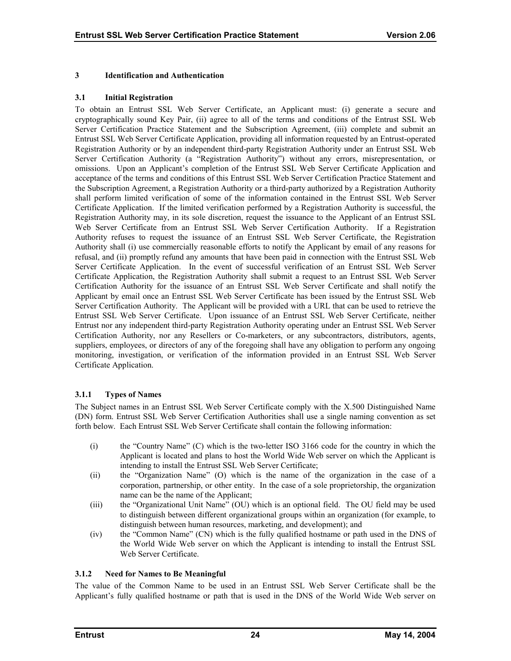## <span id="page-28-0"></span>**3 Identification and Authentication**

#### **3.1 Initial Registration**

To obtain an Entrust SSL Web Server Certificate, an Applicant must: (i) generate a secure and cryptographically sound Key Pair, (ii) agree to all of the terms and conditions of the Entrust SSL Web Server Certification Practice Statement and the Subscription Agreement, (iii) complete and submit an Entrust SSL Web Server Certificate Application, providing all information requested by an Entrust-operated Registration Authority or by an independent third-party Registration Authority under an Entrust SSL Web Server Certification Authority (a "Registration Authority") without any errors, misrepresentation, or omissions. Upon an Applicant's completion of the Entrust SSL Web Server Certificate Application and acceptance of the terms and conditions of this Entrust SSL Web Server Certification Practice Statement and the Subscription Agreement, a Registration Authority or a third-party authorized by a Registration Authority shall perform limited verification of some of the information contained in the Entrust SSL Web Server Certificate Application. If the limited verification performed by a Registration Authority is successful, the Registration Authority may, in its sole discretion, request the issuance to the Applicant of an Entrust SSL Web Server Certificate from an Entrust SSL Web Server Certification Authority. If a Registration Authority refuses to request the issuance of an Entrust SSL Web Server Certificate, the Registration Authority shall (i) use commercially reasonable efforts to notify the Applicant by email of any reasons for refusal, and (ii) promptly refund any amounts that have been paid in connection with the Entrust SSL Web Server Certificate Application. In the event of successful verification of an Entrust SSL Web Server Certificate Application, the Registration Authority shall submit a request to an Entrust SSL Web Server Certification Authority for the issuance of an Entrust SSL Web Server Certificate and shall notify the Applicant by email once an Entrust SSL Web Server Certificate has been issued by the Entrust SSL Web Server Certification Authority. The Applicant will be provided with a URL that can be used to retrieve the Entrust SSL Web Server Certificate. Upon issuance of an Entrust SSL Web Server Certificate, neither Entrust nor any independent third-party Registration Authority operating under an Entrust SSL Web Server Certification Authority, nor any Resellers or Co-marketers, or any subcontractors, distributors, agents, suppliers, employees, or directors of any of the foregoing shall have any obligation to perform any ongoing monitoring, investigation, or verification of the information provided in an Entrust SSL Web Server Certificate Application.

## **3.1.1 Types of Names**

The Subject names in an Entrust SSL Web Server Certificate comply with the X.500 Distinguished Name (DN) form. Entrust SSL Web Server Certification Authorities shall use a single naming convention as set forth below. Each Entrust SSL Web Server Certificate shall contain the following information:

- (i) the "Country Name" (C) which is the two-letter ISO 3166 code for the country in which the Applicant is located and plans to host the World Wide Web server on which the Applicant is intending to install the Entrust SSL Web Server Certificate;
- (ii) the "Organization Name" (O) which is the name of the organization in the case of a corporation, partnership, or other entity. In the case of a sole proprietorship, the organization name can be the name of the Applicant;
- (iii) the "Organizational Unit Name" (OU) which is an optional field. The OU field may be used to distinguish between different organizational groups within an organization (for example, to distinguish between human resources, marketing, and development); and
- (iv) the "Common Name" (CN) which is the fully qualified hostname or path used in the DNS of the World Wide Web server on which the Applicant is intending to install the Entrust SSL Web Server Certificate.

## **3.1.2 Need for Names to Be Meaningful**

The value of the Common Name to be used in an Entrust SSL Web Server Certificate shall be the Applicant's fully qualified hostname or path that is used in the DNS of the World Wide Web server on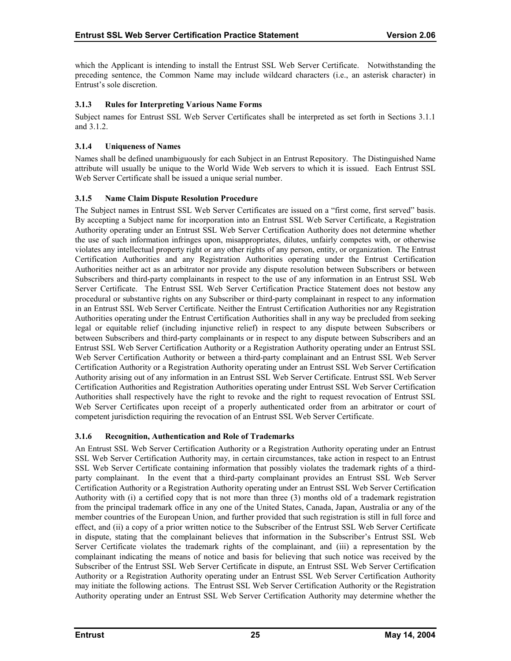<span id="page-29-0"></span>which the Applicant is intending to install the Entrust SSL Web Server Certificate. Notwithstanding the preceding sentence, the Common Name may include wildcard characters (i.e., an asterisk character) in Entrust's sole discretion.

## **3.1.3 Rules for Interpreting Various Name Forms**

Subject names for Entrust SSL Web Server Certificates shall be interpreted as set forth in Sections 3.1.1 and 3.1.2.

## **3.1.4 Uniqueness of Names**

Names shall be defined unambiguously for each Subject in an Entrust Repository. The Distinguished Name attribute will usually be unique to the World Wide Web servers to which it is issued. Each Entrust SSL Web Server Certificate shall be issued a unique serial number.

## **3.1.5 Name Claim Dispute Resolution Procedure**

The Subject names in Entrust SSL Web Server Certificates are issued on a "first come, first served" basis. By accepting a Subject name for incorporation into an Entrust SSL Web Server Certificate, a Registration Authority operating under an Entrust SSL Web Server Certification Authority does not determine whether the use of such information infringes upon, misappropriates, dilutes, unfairly competes with, or otherwise violates any intellectual property right or any other rights of any person, entity, or organization. The Entrust Certification Authorities and any Registration Authorities operating under the Entrust Certification Authorities neither act as an arbitrator nor provide any dispute resolution between Subscribers or between Subscribers and third-party complainants in respect to the use of any information in an Entrust SSL Web Server Certificate. The Entrust SSL Web Server Certification Practice Statement does not bestow any procedural or substantive rights on any Subscriber or third-party complainant in respect to any information in an Entrust SSL Web Server Certificate. Neither the Entrust Certification Authorities nor any Registration Authorities operating under the Entrust Certification Authorities shall in any way be precluded from seeking legal or equitable relief (including injunctive relief) in respect to any dispute between Subscribers or between Subscribers and third-party complainants or in respect to any dispute between Subscribers and an Entrust SSL Web Server Certification Authority or a Registration Authority operating under an Entrust SSL Web Server Certification Authority or between a third-party complainant and an Entrust SSL Web Server Certification Authority or a Registration Authority operating under an Entrust SSL Web Server Certification Authority arising out of any information in an Entrust SSL Web Server Certificate. Entrust SSL Web Server Certification Authorities and Registration Authorities operating under Entrust SSL Web Server Certification Authorities shall respectively have the right to revoke and the right to request revocation of Entrust SSL Web Server Certificates upon receipt of a properly authenticated order from an arbitrator or court of competent jurisdiction requiring the revocation of an Entrust SSL Web Server Certificate.

## **3.1.6 Recognition, Authentication and Role of Trademarks**

An Entrust SSL Web Server Certification Authority or a Registration Authority operating under an Entrust SSL Web Server Certification Authority may, in certain circumstances, take action in respect to an Entrust SSL Web Server Certificate containing information that possibly violates the trademark rights of a thirdparty complainant. In the event that a third-party complainant provides an Entrust SSL Web Server Certification Authority or a Registration Authority operating under an Entrust SSL Web Server Certification Authority with (i) a certified copy that is not more than three (3) months old of a trademark registration from the principal trademark office in any one of the United States, Canada, Japan, Australia or any of the member countries of the European Union, and further provided that such registration is still in full force and effect, and (ii) a copy of a prior written notice to the Subscriber of the Entrust SSL Web Server Certificate in dispute, stating that the complainant believes that information in the Subscriber's Entrust SSL Web Server Certificate violates the trademark rights of the complainant, and (iii) a representation by the complainant indicating the means of notice and basis for believing that such notice was received by the Subscriber of the Entrust SSL Web Server Certificate in dispute, an Entrust SSL Web Server Certification Authority or a Registration Authority operating under an Entrust SSL Web Server Certification Authority may initiate the following actions. The Entrust SSL Web Server Certification Authority or the Registration Authority operating under an Entrust SSL Web Server Certification Authority may determine whether the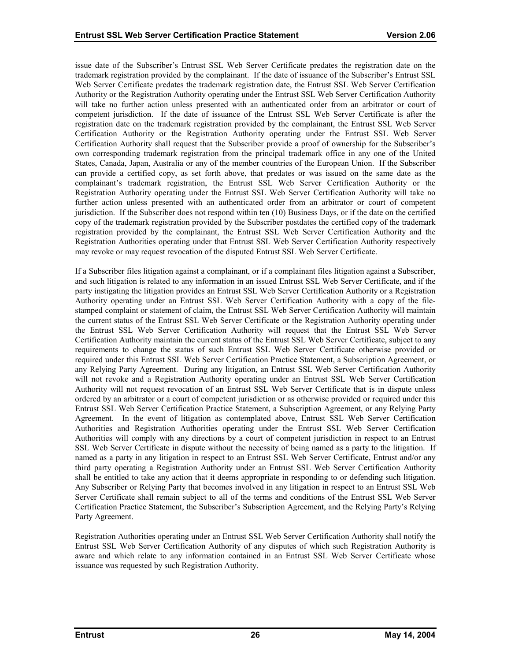issue date of the Subscriber's Entrust SSL Web Server Certificate predates the registration date on the trademark registration provided by the complainant. If the date of issuance of the Subscriber's Entrust SSL Web Server Certificate predates the trademark registration date, the Entrust SSL Web Server Certification Authority or the Registration Authority operating under the Entrust SSL Web Server Certification Authority will take no further action unless presented with an authenticated order from an arbitrator or court of competent jurisdiction. If the date of issuance of the Entrust SSL Web Server Certificate is after the registration date on the trademark registration provided by the complainant, the Entrust SSL Web Server Certification Authority or the Registration Authority operating under the Entrust SSL Web Server Certification Authority shall request that the Subscriber provide a proof of ownership for the Subscriber's own corresponding trademark registration from the principal trademark office in any one of the United States, Canada, Japan, Australia or any of the member countries of the European Union. If the Subscriber can provide a certified copy, as set forth above, that predates or was issued on the same date as the complainant's trademark registration, the Entrust SSL Web Server Certification Authority or the Registration Authority operating under the Entrust SSL Web Server Certification Authority will take no further action unless presented with an authenticated order from an arbitrator or court of competent jurisdiction. If the Subscriber does not respond within ten (10) Business Days, or if the date on the certified copy of the trademark registration provided by the Subscriber postdates the certified copy of the trademark registration provided by the complainant, the Entrust SSL Web Server Certification Authority and the Registration Authorities operating under that Entrust SSL Web Server Certification Authority respectively may revoke or may request revocation of the disputed Entrust SSL Web Server Certificate.

If a Subscriber files litigation against a complainant, or if a complainant files litigation against a Subscriber, and such litigation is related to any information in an issued Entrust SSL Web Server Certificate, and if the party instigating the litigation provides an Entrust SSL Web Server Certification Authority or a Registration Authority operating under an Entrust SSL Web Server Certification Authority with a copy of the filestamped complaint or statement of claim, the Entrust SSL Web Server Certification Authority will maintain the current status of the Entrust SSL Web Server Certificate or the Registration Authority operating under the Entrust SSL Web Server Certification Authority will request that the Entrust SSL Web Server Certification Authority maintain the current status of the Entrust SSL Web Server Certificate, subject to any requirements to change the status of such Entrust SSL Web Server Certificate otherwise provided or required under this Entrust SSL Web Server Certification Practice Statement, a Subscription Agreement, or any Relying Party Agreement. During any litigation, an Entrust SSL Web Server Certification Authority will not revoke and a Registration Authority operating under an Entrust SSL Web Server Certification Authority will not request revocation of an Entrust SSL Web Server Certificate that is in dispute unless ordered by an arbitrator or a court of competent jurisdiction or as otherwise provided or required under this Entrust SSL Web Server Certification Practice Statement, a Subscription Agreement, or any Relying Party Agreement. In the event of litigation as contemplated above, Entrust SSL Web Server Certification Authorities and Registration Authorities operating under the Entrust SSL Web Server Certification Authorities will comply with any directions by a court of competent jurisdiction in respect to an Entrust SSL Web Server Certificate in dispute without the necessity of being named as a party to the litigation. If named as a party in any litigation in respect to an Entrust SSL Web Server Certificate, Entrust and/or any third party operating a Registration Authority under an Entrust SSL Web Server Certification Authority shall be entitled to take any action that it deems appropriate in responding to or defending such litigation. Any Subscriber or Relying Party that becomes involved in any litigation in respect to an Entrust SSL Web Server Certificate shall remain subject to all of the terms and conditions of the Entrust SSL Web Server Certification Practice Statement, the Subscriber's Subscription Agreement, and the Relying Party's Relying Party Agreement.

Registration Authorities operating under an Entrust SSL Web Server Certification Authority shall notify the Entrust SSL Web Server Certification Authority of any disputes of which such Registration Authority is aware and which relate to any information contained in an Entrust SSL Web Server Certificate whose issuance was requested by such Registration Authority.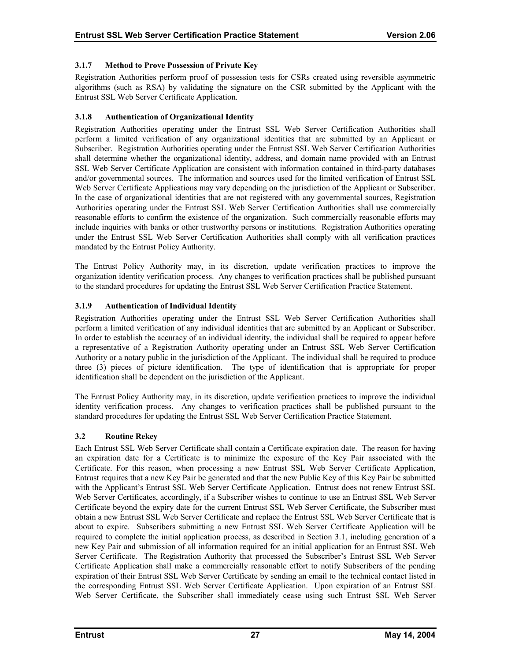# <span id="page-31-0"></span>**3.1.7 Method to Prove Possession of Private Key**

Registration Authorities perform proof of possession tests for CSRs created using reversible asymmetric algorithms (such as RSA) by validating the signature on the CSR submitted by the Applicant with the Entrust SSL Web Server Certificate Application.

## **3.1.8 Authentication of Organizational Identity**

Registration Authorities operating under the Entrust SSL Web Server Certification Authorities shall perform a limited verification of any organizational identities that are submitted by an Applicant or Subscriber. Registration Authorities operating under the Entrust SSL Web Server Certification Authorities shall determine whether the organizational identity, address, and domain name provided with an Entrust SSL Web Server Certificate Application are consistent with information contained in third-party databases and/or governmental sources. The information and sources used for the limited verification of Entrust SSL Web Server Certificate Applications may vary depending on the jurisdiction of the Applicant or Subscriber. In the case of organizational identities that are not registered with any governmental sources, Registration Authorities operating under the Entrust SSL Web Server Certification Authorities shall use commercially reasonable efforts to confirm the existence of the organization. Such commercially reasonable efforts may include inquiries with banks or other trustworthy persons or institutions. Registration Authorities operating under the Entrust SSL Web Server Certification Authorities shall comply with all verification practices mandated by the Entrust Policy Authority.

The Entrust Policy Authority may, in its discretion, update verification practices to improve the organization identity verification process. Any changes to verification practices shall be published pursuant to the standard procedures for updating the Entrust SSL Web Server Certification Practice Statement.

# **3.1.9 Authentication of Individual Identity**

Registration Authorities operating under the Entrust SSL Web Server Certification Authorities shall perform a limited verification of any individual identities that are submitted by an Applicant or Subscriber. In order to establish the accuracy of an individual identity, the individual shall be required to appear before a representative of a Registration Authority operating under an Entrust SSL Web Server Certification Authority or a notary public in the jurisdiction of the Applicant. The individual shall be required to produce three (3) pieces of picture identification. The type of identification that is appropriate for proper identification shall be dependent on the jurisdiction of the Applicant.

The Entrust Policy Authority may, in its discretion, update verification practices to improve the individual identity verification process. Any changes to verification practices shall be published pursuant to the standard procedures for updating the Entrust SSL Web Server Certification Practice Statement.

## **3.2 Routine Rekey**

Each Entrust SSL Web Server Certificate shall contain a Certificate expiration date. The reason for having an expiration date for a Certificate is to minimize the exposure of the Key Pair associated with the Certificate. For this reason, when processing a new Entrust SSL Web Server Certificate Application, Entrust requires that a new Key Pair be generated and that the new Public Key of this Key Pair be submitted with the Applicant's Entrust SSL Web Server Certificate Application. Entrust does not renew Entrust SSL Web Server Certificates, accordingly, if a Subscriber wishes to continue to use an Entrust SSL Web Server Certificate beyond the expiry date for the current Entrust SSL Web Server Certificate, the Subscriber must obtain a new Entrust SSL Web Server Certificate and replace the Entrust SSL Web Server Certificate that is about to expire. Subscribers submitting a new Entrust SSL Web Server Certificate Application will be required to complete the initial application process, as described in Section 3.1, including generation of a new Key Pair and submission of all information required for an initial application for an Entrust SSL Web Server Certificate. The Registration Authority that processed the Subscriber's Entrust SSL Web Server Certificate Application shall make a commercially reasonable effort to notify Subscribers of the pending expiration of their Entrust SSL Web Server Certificate by sending an email to the technical contact listed in the corresponding Entrust SSL Web Server Certificate Application. Upon expiration of an Entrust SSL Web Server Certificate, the Subscriber shall immediately cease using such Entrust SSL Web Server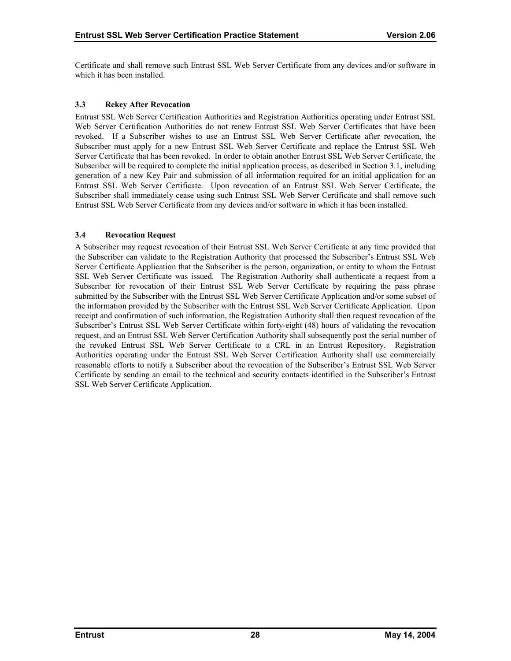<span id="page-32-0"></span>Certificate and shall remove such Entrust SSL Web Server Certificate from any devices and/or software in which it has been installed.

#### **3.3 Rekey After Revocation**

Entrust SSL Web Server Certification Authorities and Registration Authorities operating under Entrust SSL Web Server Certification Authorities do not renew Entrust SSL Web Server Certificates that have been revoked. If a Subscriber wishes to use an Entrust SSL Web Server Certificate after revocation, the Subscriber must apply for a new Entrust SSL Web Server Certificate and replace the Entrust SSL Web Server Certificate that has been revoked. In order to obtain another Entrust SSL Web Server Certificate, the Subscriber will be required to complete the initial application process, as described in Section 3.1, including generation of a new Key Pair and submission of all information required for an initial application for an Entrust SSL Web Server Certificate. Upon revocation of an Entrust SSL Web Server Certificate, the Subscriber shall immediately cease using such Entrust SSL Web Server Certificate and shall remove such Entrust SSL Web Server Certificate from any devices and/or software in which it has been installed.

#### **3.4 Revocation Request**

A Subscriber may request revocation of their Entrust SSL Web Server Certificate at any time provided that the Subscriber can validate to the Registration Authority that processed the Subscriber's Entrust SSL Web Server Certificate Application that the Subscriber is the person, organization, or entity to whom the Entrust SSL Web Server Certificate was issued. The Registration Authority shall authenticate a request from a Subscriber for revocation of their Entrust SSL Web Server Certificate by requiring the pass phrase submitted by the Subscriber with the Entrust SSL Web Server Certificate Application and/or some subset of the information provided by the Subscriber with the Entrust SSL Web Server Certificate Application. Upon receipt and confirmation of such information, the Registration Authority shall then request revocation of the Subscriber's Entrust SSL Web Server Certificate within forty-eight (48) hours of validating the revocation request, and an Entrust SSL Web Server Certification Authority shall subsequently post the serial number of the revoked Entrust SSL Web Server Certificate to a CRL in an Entrust Repository. Registration Authorities operating under the Entrust SSL Web Server Certification Authority shall use commercially reasonable efforts to notify a Subscriber about the revocation of the Subscriber's Entrust SSL Web Server Certificate by sending an email to the technical and security contacts identified in the Subscriber's Entrust SSL Web Server Certificate Application.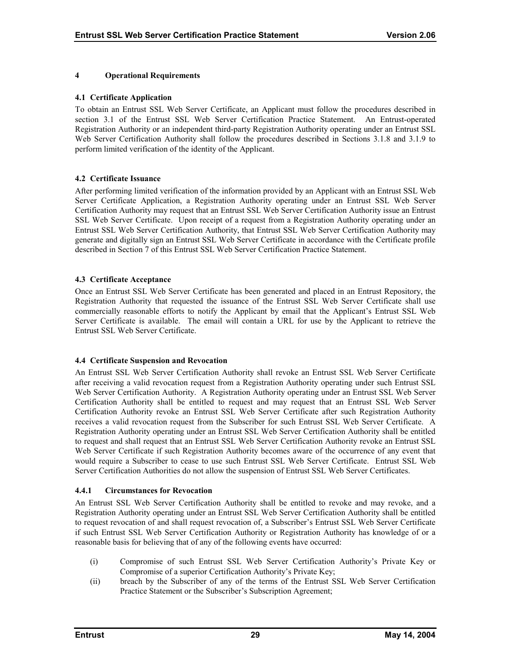#### <span id="page-33-0"></span>**4 Operational Requirements**

#### **4.1 Certificate Application**

To obtain an Entrust SSL Web Server Certificate, an Applicant must follow the procedures described in section 3.1 of the Entrust SSL Web Server Certification Practice Statement. An Entrust-operated Registration Authority or an independent third-party Registration Authority operating under an Entrust SSL Web Server Certification Authority shall follow the procedures described in Sections 3.1.8 and 3.1.9 to perform limited verification of the identity of the Applicant.

## **4.2 Certificate Issuance**

After performing limited verification of the information provided by an Applicant with an Entrust SSL Web Server Certificate Application, a Registration Authority operating under an Entrust SSL Web Server Certification Authority may request that an Entrust SSL Web Server Certification Authority issue an Entrust SSL Web Server Certificate. Upon receipt of a request from a Registration Authority operating under an Entrust SSL Web Server Certification Authority, that Entrust SSL Web Server Certification Authority may generate and digitally sign an Entrust SSL Web Server Certificate in accordance with the Certificate profile described in Section 7 of this Entrust SSL Web Server Certification Practice Statement.

#### **4.3 Certificate Acceptance**

Once an Entrust SSL Web Server Certificate has been generated and placed in an Entrust Repository, the Registration Authority that requested the issuance of the Entrust SSL Web Server Certificate shall use commercially reasonable efforts to notify the Applicant by email that the Applicant's Entrust SSL Web Server Certificate is available. The email will contain a URL for use by the Applicant to retrieve the Entrust SSL Web Server Certificate.

#### **4.4 Certificate Suspension and Revocation**

An Entrust SSL Web Server Certification Authority shall revoke an Entrust SSL Web Server Certificate after receiving a valid revocation request from a Registration Authority operating under such Entrust SSL Web Server Certification Authority. A Registration Authority operating under an Entrust SSL Web Server Certification Authority shall be entitled to request and may request that an Entrust SSL Web Server Certification Authority revoke an Entrust SSL Web Server Certificate after such Registration Authority receives a valid revocation request from the Subscriber for such Entrust SSL Web Server Certificate. A Registration Authority operating under an Entrust SSL Web Server Certification Authority shall be entitled to request and shall request that an Entrust SSL Web Server Certification Authority revoke an Entrust SSL Web Server Certificate if such Registration Authority becomes aware of the occurrence of any event that would require a Subscriber to cease to use such Entrust SSL Web Server Certificate. Entrust SSL Web Server Certification Authorities do not allow the suspension of Entrust SSL Web Server Certificates.

#### **4.4.1 Circumstances for Revocation**

An Entrust SSL Web Server Certification Authority shall be entitled to revoke and may revoke, and a Registration Authority operating under an Entrust SSL Web Server Certification Authority shall be entitled to request revocation of and shall request revocation of, a Subscriber's Entrust SSL Web Server Certificate if such Entrust SSL Web Server Certification Authority or Registration Authority has knowledge of or a reasonable basis for believing that of any of the following events have occurred:

- (i) Compromise of such Entrust SSL Web Server Certification Authority's Private Key or Compromise of a superior Certification Authority's Private Key;
- (ii) breach by the Subscriber of any of the terms of the Entrust SSL Web Server Certification Practice Statement or the Subscriber's Subscription Agreement;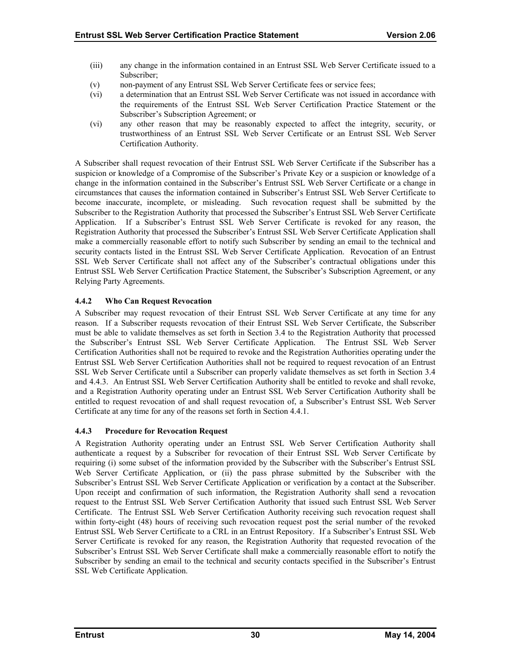- <span id="page-34-0"></span>(iii) any change in the information contained in an Entrust SSL Web Server Certificate issued to a Subscriber;
- (v) non-payment of any Entrust SSL Web Server Certificate fees or service fees;
- (vi) a determination that an Entrust SSL Web Server Certificate was not issued in accordance with the requirements of the Entrust SSL Web Server Certification Practice Statement or the Subscriber's Subscription Agreement; or
- (vi) any other reason that may be reasonably expected to affect the integrity, security, or trustworthiness of an Entrust SSL Web Server Certificate or an Entrust SSL Web Server Certification Authority.

A Subscriber shall request revocation of their Entrust SSL Web Server Certificate if the Subscriber has a suspicion or knowledge of a Compromise of the Subscriber's Private Key or a suspicion or knowledge of a change in the information contained in the Subscriber's Entrust SSL Web Server Certificate or a change in circumstances that causes the information contained in Subscriber's Entrust SSL Web Server Certificate to become inaccurate, incomplete, or misleading. Such revocation request shall be submitted by the Subscriber to the Registration Authority that processed the Subscriber's Entrust SSL Web Server Certificate Application. If a Subscriber's Entrust SSL Web Server Certificate is revoked for any reason, the Registration Authority that processed the Subscriber's Entrust SSL Web Server Certificate Application shall make a commercially reasonable effort to notify such Subscriber by sending an email to the technical and security contacts listed in the Entrust SSL Web Server Certificate Application. Revocation of an Entrust SSL Web Server Certificate shall not affect any of the Subscriber's contractual obligations under this Entrust SSL Web Server Certification Practice Statement, the Subscriber's Subscription Agreement, or any Relying Party Agreements.

# **4.4.2 Who Can Request Revocation**

A Subscriber may request revocation of their Entrust SSL Web Server Certificate at any time for any reason. If a Subscriber requests revocation of their Entrust SSL Web Server Certificate, the Subscriber must be able to validate themselves as set forth in Section 3.4 to the Registration Authority that processed the Subscriber's Entrust SSL Web Server Certificate Application. The Entrust SSL Web Server Certification Authorities shall not be required to revoke and the Registration Authorities operating under the Entrust SSL Web Server Certification Authorities shall not be required to request revocation of an Entrust SSL Web Server Certificate until a Subscriber can properly validate themselves as set forth in Section 3.4 and 4.4.3. An Entrust SSL Web Server Certification Authority shall be entitled to revoke and shall revoke, and a Registration Authority operating under an Entrust SSL Web Server Certification Authority shall be entitled to request revocation of and shall request revocation of, a Subscriber's Entrust SSL Web Server Certificate at any time for any of the reasons set forth in Section 4.4.1.

## **4.4.3 Procedure for Revocation Request**

A Registration Authority operating under an Entrust SSL Web Server Certification Authority shall authenticate a request by a Subscriber for revocation of their Entrust SSL Web Server Certificate by requiring (i) some subset of the information provided by the Subscriber with the Subscriber's Entrust SSL Web Server Certificate Application, or (ii) the pass phrase submitted by the Subscriber with the Subscriber's Entrust SSL Web Server Certificate Application or verification by a contact at the Subscriber. Upon receipt and confirmation of such information, the Registration Authority shall send a revocation request to the Entrust SSL Web Server Certification Authority that issued such Entrust SSL Web Server Certificate. The Entrust SSL Web Server Certification Authority receiving such revocation request shall within forty-eight (48) hours of receiving such revocation request post the serial number of the revoked Entrust SSL Web Server Certificate to a CRL in an Entrust Repository. If a Subscriber's Entrust SSL Web Server Certificate is revoked for any reason, the Registration Authority that requested revocation of the Subscriber's Entrust SSL Web Server Certificate shall make a commercially reasonable effort to notify the Subscriber by sending an email to the technical and security contacts specified in the Subscriber's Entrust SSL Web Certificate Application.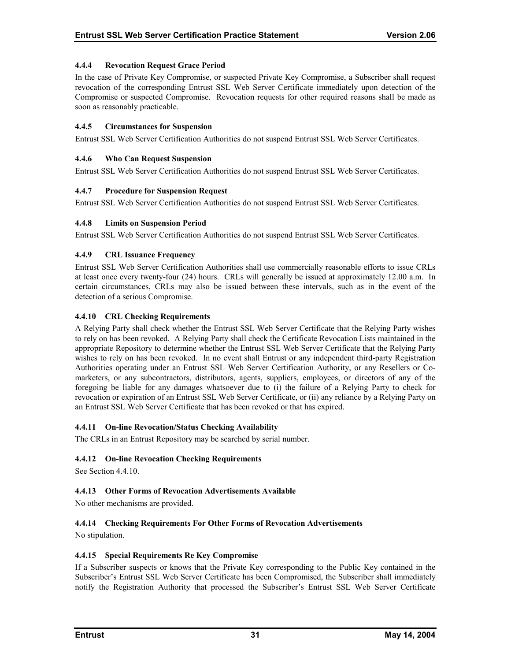## <span id="page-35-0"></span>**4.4.4 Revocation Request Grace Period**

In the case of Private Key Compromise, or suspected Private Key Compromise, a Subscriber shall request revocation of the corresponding Entrust SSL Web Server Certificate immediately upon detection of the Compromise or suspected Compromise. Revocation requests for other required reasons shall be made as soon as reasonably practicable.

#### **4.4.5 Circumstances for Suspension**

Entrust SSL Web Server Certification Authorities do not suspend Entrust SSL Web Server Certificates.

#### **4.4.6 Who Can Request Suspension**

Entrust SSL Web Server Certification Authorities do not suspend Entrust SSL Web Server Certificates.

#### **4.4.7 Procedure for Suspension Request**

Entrust SSL Web Server Certification Authorities do not suspend Entrust SSL Web Server Certificates.

#### **4.4.8 Limits on Suspension Period**

Entrust SSL Web Server Certification Authorities do not suspend Entrust SSL Web Server Certificates.

#### **4.4.9 CRL Issuance Frequency**

Entrust SSL Web Server Certification Authorities shall use commercially reasonable efforts to issue CRLs at least once every twenty-four (24) hours. CRLs will generally be issued at approximately 12.00 a.m. In certain circumstances, CRLs may also be issued between these intervals, such as in the event of the detection of a serious Compromise.

#### **4.4.10 CRL Checking Requirements**

A Relying Party shall check whether the Entrust SSL Web Server Certificate that the Relying Party wishes to rely on has been revoked. A Relying Party shall check the Certificate Revocation Lists maintained in the appropriate Repository to determine whether the Entrust SSL Web Server Certificate that the Relying Party wishes to rely on has been revoked. In no event shall Entrust or any independent third-party Registration Authorities operating under an Entrust SSL Web Server Certification Authority, or any Resellers or Comarketers, or any subcontractors, distributors, agents, suppliers, employees, or directors of any of the foregoing be liable for any damages whatsoever due to (i) the failure of a Relying Party to check for revocation or expiration of an Entrust SSL Web Server Certificate, or (ii) any reliance by a Relying Party on an Entrust SSL Web Server Certificate that has been revoked or that has expired.

## **4.4.11 On-line Revocation/Status Checking Availability**

The CRLs in an Entrust Repository may be searched by serial number.

## **4.4.12 On-line Revocation Checking Requirements**

See Section 4.4.10.

## **4.4.13 Other Forms of Revocation Advertisements Available**

No other mechanisms are provided.

## **4.4.14 Checking Requirements For Other Forms of Revocation Advertisements**

No stipulation.

#### **4.4.15 Special Requirements Re Key Compromise**

If a Subscriber suspects or knows that the Private Key corresponding to the Public Key contained in the Subscriber's Entrust SSL Web Server Certificate has been Compromised, the Subscriber shall immediately notify the Registration Authority that processed the Subscriber's Entrust SSL Web Server Certificate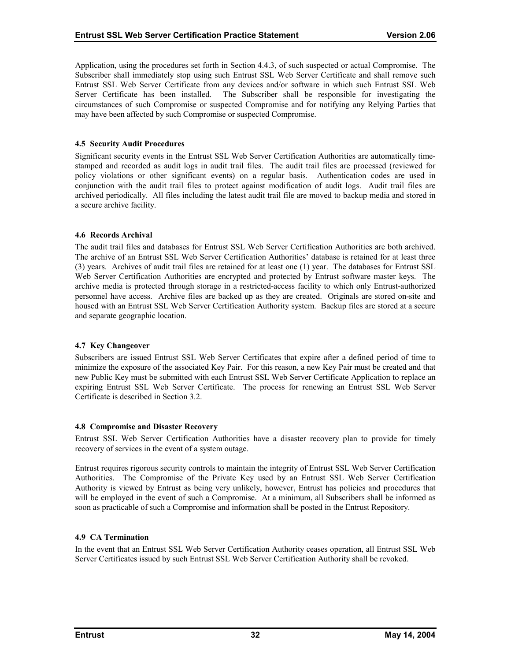<span id="page-36-0"></span>Application, using the procedures set forth in Section 4.4.3, of such suspected or actual Compromise. The Subscriber shall immediately stop using such Entrust SSL Web Server Certificate and shall remove such Entrust SSL Web Server Certificate from any devices and/or software in which such Entrust SSL Web Server Certificate has been installed. The Subscriber shall be responsible for investigating the circumstances of such Compromise or suspected Compromise and for notifying any Relying Parties that may have been affected by such Compromise or suspected Compromise.

#### **4.5 Security Audit Procedures**

Significant security events in the Entrust SSL Web Server Certification Authorities are automatically timestamped and recorded as audit logs in audit trail files. The audit trail files are processed (reviewed for policy violations or other significant events) on a regular basis. Authentication codes are used in conjunction with the audit trail files to protect against modification of audit logs. Audit trail files are archived periodically. All files including the latest audit trail file are moved to backup media and stored in a secure archive facility.

#### **4.6 Records Archival**

The audit trail files and databases for Entrust SSL Web Server Certification Authorities are both archived. The archive of an Entrust SSL Web Server Certification Authorities' database is retained for at least three (3) years. Archives of audit trail files are retained for at least one (1) year. The databases for Entrust SSL Web Server Certification Authorities are encrypted and protected by Entrust software master keys. The archive media is protected through storage in a restricted-access facility to which only Entrust-authorized personnel have access. Archive files are backed up as they are created. Originals are stored on-site and housed with an Entrust SSL Web Server Certification Authority system. Backup files are stored at a secure and separate geographic location.

#### **4.7 Key Changeover**

Subscribers are issued Entrust SSL Web Server Certificates that expire after a defined period of time to minimize the exposure of the associated Key Pair. For this reason, a new Key Pair must be created and that new Public Key must be submitted with each Entrust SSL Web Server Certificate Application to replace an expiring Entrust SSL Web Server Certificate. The process for renewing an Entrust SSL Web Server Certificate is described in Section 3.2.

#### **4.8 Compromise and Disaster Recovery**

Entrust SSL Web Server Certification Authorities have a disaster recovery plan to provide for timely recovery of services in the event of a system outage.

Entrust requires rigorous security controls to maintain the integrity of Entrust SSL Web Server Certification Authorities. The Compromise of the Private Key used by an Entrust SSL Web Server Certification Authority is viewed by Entrust as being very unlikely, however, Entrust has policies and procedures that will be employed in the event of such a Compromise. At a minimum, all Subscribers shall be informed as soon as practicable of such a Compromise and information shall be posted in the Entrust Repository.

## **4.9 CA Termination**

In the event that an Entrust SSL Web Server Certification Authority ceases operation, all Entrust SSL Web Server Certificates issued by such Entrust SSL Web Server Certification Authority shall be revoked.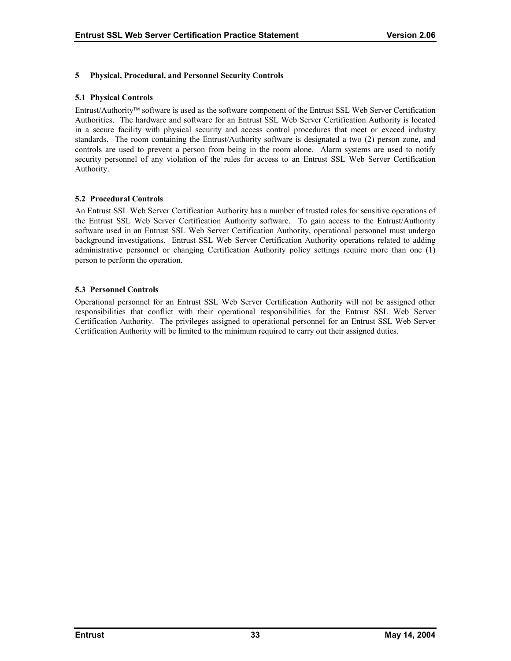## <span id="page-37-0"></span>**5 Physical, Procedural, and Personnel Security Controls**

#### **5.1 Physical Controls**

Entrust/Authority software is used as the software component of the Entrust SSL Web Server Certification Authorities. The hardware and software for an Entrust SSL Web Server Certification Authority is located in a secure facility with physical security and access control procedures that meet or exceed industry standards. The room containing the Entrust/Authority software is designated a two (2) person zone, and controls are used to prevent a person from being in the room alone. Alarm systems are used to notify security personnel of any violation of the rules for access to an Entrust SSL Web Server Certification Authority.

#### **5.2 Procedural Controls**

An Entrust SSL Web Server Certification Authority has a number of trusted roles for sensitive operations of the Entrust SSL Web Server Certification Authority software. To gain access to the Entrust/Authority software used in an Entrust SSL Web Server Certification Authority, operational personnel must undergo background investigations. Entrust SSL Web Server Certification Authority operations related to adding administrative personnel or changing Certification Authority policy settings require more than one (1) person to perform the operation.

#### **5.3 Personnel Controls**

Operational personnel for an Entrust SSL Web Server Certification Authority will not be assigned other responsibilities that conflict with their operational responsibilities for the Entrust SSL Web Server Certification Authority. The privileges assigned to operational personnel for an Entrust SSL Web Server Certification Authority will be limited to the minimum required to carry out their assigned duties.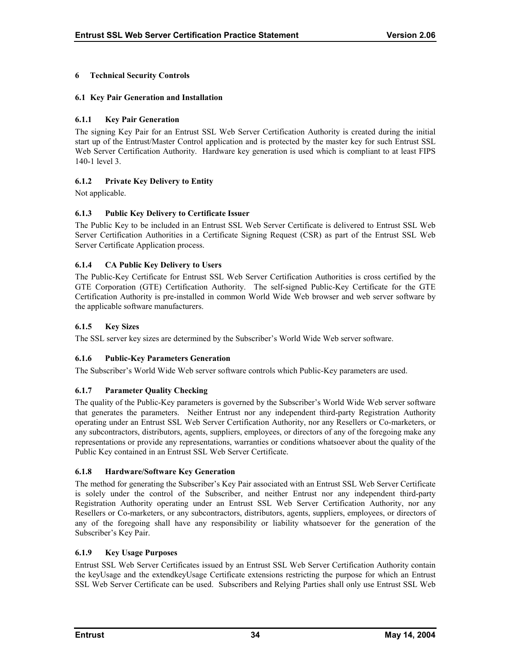## <span id="page-38-0"></span>**6 Technical Security Controls**

## **6.1 Key Pair Generation and Installation**

## **6.1.1 Key Pair Generation**

The signing Key Pair for an Entrust SSL Web Server Certification Authority is created during the initial start up of the Entrust/Master Control application and is protected by the master key for such Entrust SSL Web Server Certification Authority. Hardware key generation is used which is compliant to at least FIPS 140-1 level 3.

## **6.1.2 Private Key Delivery to Entity**

Not applicable.

# **6.1.3 Public Key Delivery to Certificate Issuer**

The Public Key to be included in an Entrust SSL Web Server Certificate is delivered to Entrust SSL Web Server Certification Authorities in a Certificate Signing Request (CSR) as part of the Entrust SSL Web Server Certificate Application process.

## **6.1.4 CA Public Key Delivery to Users**

The Public-Key Certificate for Entrust SSL Web Server Certification Authorities is cross certified by the GTE Corporation (GTE) Certification Authority. The self-signed Public-Key Certificate for the GTE Certification Authority is pre-installed in common World Wide Web browser and web server software by the applicable software manufacturers.

#### **6.1.5 Key Sizes**

The SSL server key sizes are determined by the Subscriber's World Wide Web server software.

## **6.1.6 Public-Key Parameters Generation**

The Subscriber's World Wide Web server software controls which Public-Key parameters are used.

## **6.1.7 Parameter Quality Checking**

The quality of the Public-Key parameters is governed by the Subscriber's World Wide Web server software that generates the parameters. Neither Entrust nor any independent third-party Registration Authority operating under an Entrust SSL Web Server Certification Authority, nor any Resellers or Co-marketers, or any subcontractors, distributors, agents, suppliers, employees, or directors of any of the foregoing make any representations or provide any representations, warranties or conditions whatsoever about the quality of the Public Key contained in an Entrust SSL Web Server Certificate.

#### **6.1.8 Hardware/Software Key Generation**

The method for generating the Subscriber's Key Pair associated with an Entrust SSL Web Server Certificate is solely under the control of the Subscriber, and neither Entrust nor any independent third-party Registration Authority operating under an Entrust SSL Web Server Certification Authority, nor any Resellers or Co-marketers, or any subcontractors, distributors, agents, suppliers, employees, or directors of any of the foregoing shall have any responsibility or liability whatsoever for the generation of the Subscriber's Key Pair.

#### **6.1.9 Key Usage Purposes**

Entrust SSL Web Server Certificates issued by an Entrust SSL Web Server Certification Authority contain the keyUsage and the extendkeyUsage Certificate extensions restricting the purpose for which an Entrust SSL Web Server Certificate can be used. Subscribers and Relying Parties shall only use Entrust SSL Web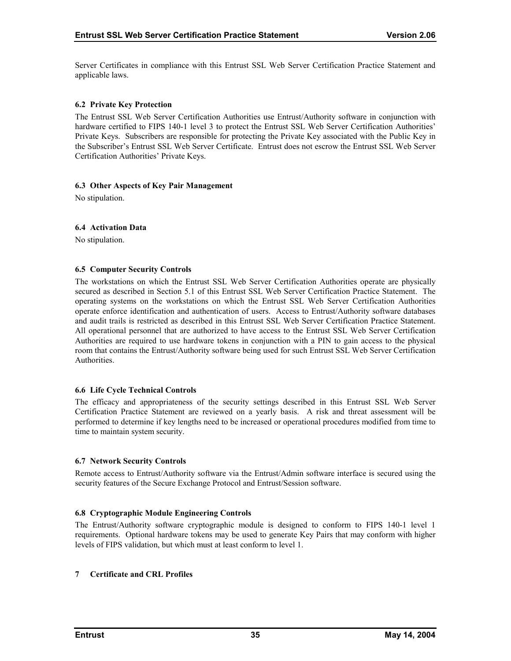<span id="page-39-0"></span>Server Certificates in compliance with this Entrust SSL Web Server Certification Practice Statement and applicable laws.

#### **6.2 Private Key Protection**

The Entrust SSL Web Server Certification Authorities use Entrust/Authority software in conjunction with hardware certified to FIPS 140-1 level 3 to protect the Entrust SSL Web Server Certification Authorities' Private Keys. Subscribers are responsible for protecting the Private Key associated with the Public Key in the Subscriber's Entrust SSL Web Server Certificate. Entrust does not escrow the Entrust SSL Web Server Certification Authorities' Private Keys.

#### **6.3 Other Aspects of Key Pair Management**

No stipulation.

#### **6.4 Activation Data**

No stipulation.

#### **6.5 Computer Security Controls**

The workstations on which the Entrust SSL Web Server Certification Authorities operate are physically secured as described in Section 5.1 of this Entrust SSL Web Server Certification Practice Statement. The operating systems on the workstations on which the Entrust SSL Web Server Certification Authorities operate enforce identification and authentication of users. Access to Entrust/Authority software databases and audit trails is restricted as described in this Entrust SSL Web Server Certification Practice Statement. All operational personnel that are authorized to have access to the Entrust SSL Web Server Certification Authorities are required to use hardware tokens in conjunction with a PIN to gain access to the physical room that contains the Entrust/Authority software being used for such Entrust SSL Web Server Certification **Authorities** 

#### **6.6 Life Cycle Technical Controls**

The efficacy and appropriateness of the security settings described in this Entrust SSL Web Server Certification Practice Statement are reviewed on a yearly basis. A risk and threat assessment will be performed to determine if key lengths need to be increased or operational procedures modified from time to time to maintain system security.

#### **6.7 Network Security Controls**

Remote access to Entrust/Authority software via the Entrust/Admin software interface is secured using the security features of the Secure Exchange Protocol and Entrust/Session software.

## **6.8 Cryptographic Module Engineering Controls**

The Entrust/Authority software cryptographic module is designed to conform to FIPS 140-1 level 1 requirements. Optional hardware tokens may be used to generate Key Pairs that may conform with higher levels of FIPS validation, but which must at least conform to level 1.

#### **7 Certificate and CRL Profiles**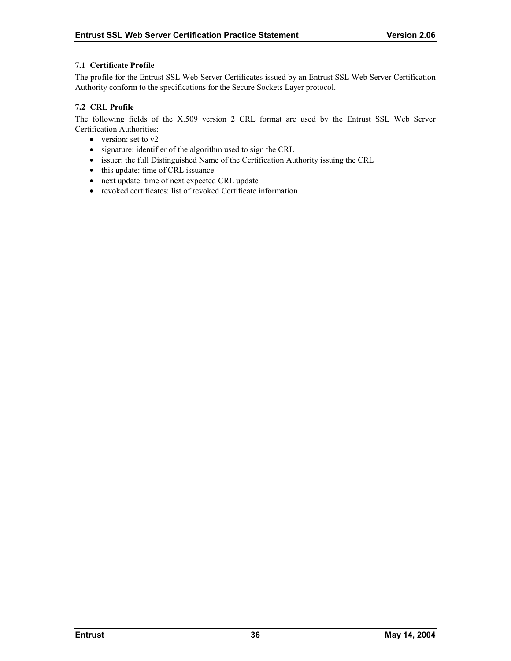#### <span id="page-40-0"></span>**7.1 Certificate Profile**

The profile for the Entrust SSL Web Server Certificates issued by an Entrust SSL Web Server Certification Authority conform to the specifications for the Secure Sockets Layer protocol.

#### **7.2 CRL Profile**

The following fields of the X.509 version 2 CRL format are used by the Entrust SSL Web Server Certification Authorities:

- version: set to v2
- signature: identifier of the algorithm used to sign the CRL
- issuer: the full Distinguished Name of the Certification Authority issuing the CRL
- this update: time of CRL issuance
- next update: time of next expected CRL update
- revoked certificates: list of revoked Certificate information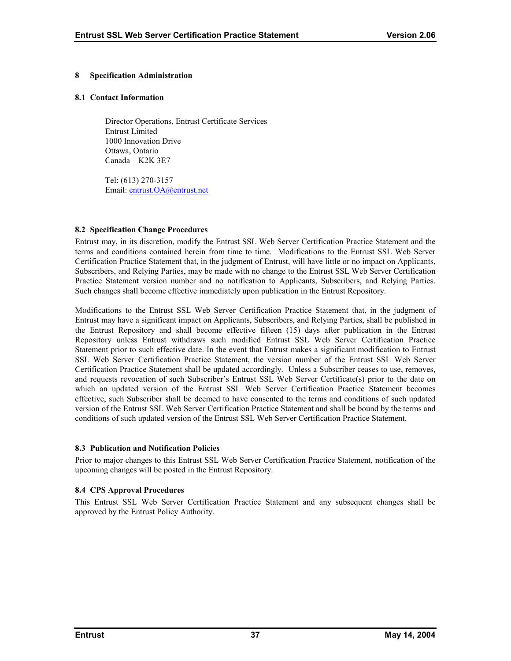#### <span id="page-41-0"></span>**8 Specification Administration**

#### **8.1 Contact Information**

Director Operations, Entrust Certificate Services Entrust Limited 1000 Innovation Drive Ottawa, Ontario Canada K2K 3E7

Tel: (613) 270-3157 Email: [entrust.OA@entrust.net](mailto:???@entrust.net)

#### **8.2 Specification Change Procedures**

Entrust may, in its discretion, modify the Entrust SSL Web Server Certification Practice Statement and the terms and conditions contained herein from time to time. Modifications to the Entrust SSL Web Server Certification Practice Statement that, in the judgment of Entrust, will have little or no impact on Applicants, Subscribers, and Relying Parties, may be made with no change to the Entrust SSL Web Server Certification Practice Statement version number and no notification to Applicants, Subscribers, and Relying Parties. Such changes shall become effective immediately upon publication in the Entrust Repository.

Modifications to the Entrust SSL Web Server Certification Practice Statement that, in the judgment of Entrust may have a significant impact on Applicants, Subscribers, and Relying Parties, shall be published in the Entrust Repository and shall become effective fifteen (15) days after publication in the Entrust Repository unless Entrust withdraws such modified Entrust SSL Web Server Certification Practice Statement prior to such effective date. In the event that Entrust makes a significant modification to Entrust SSL Web Server Certification Practice Statement, the version number of the Entrust SSL Web Server Certification Practice Statement shall be updated accordingly. Unless a Subscriber ceases to use, removes, and requests revocation of such Subscriber's Entrust SSL Web Server Certificate(s) prior to the date on which an updated version of the Entrust SSL Web Server Certification Practice Statement becomes effective, such Subscriber shall be deemed to have consented to the terms and conditions of such updated version of the Entrust SSL Web Server Certification Practice Statement and shall be bound by the terms and conditions of such updated version of the Entrust SSL Web Server Certification Practice Statement.

#### **8.3 Publication and Notification Policies**

Prior to major changes to this Entrust SSL Web Server Certification Practice Statement, notification of the upcoming changes will be posted in the Entrust Repository.

# **8.4 CPS Approval Procedures**

This Entrust SSL Web Server Certification Practice Statement and any subsequent changes shall be approved by the Entrust Policy Authority.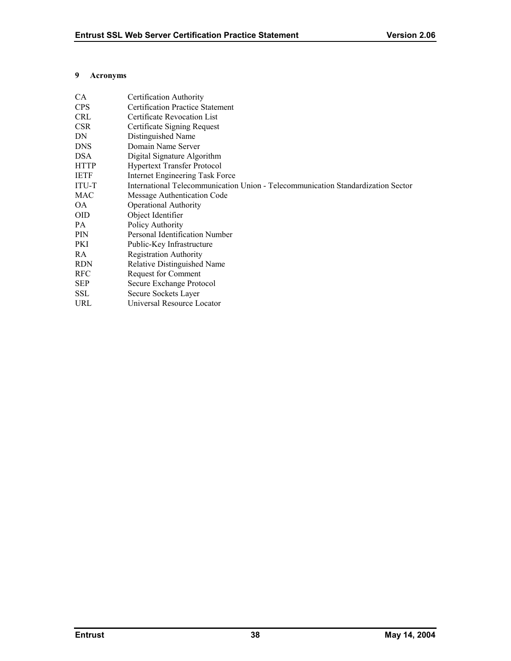#### <span id="page-42-0"></span>**9 Acronyms**

| CA          | Certification Authority                                                          |
|-------------|----------------------------------------------------------------------------------|
| <b>CPS</b>  | <b>Certification Practice Statement</b>                                          |
| <b>CRL</b>  | Certificate Revocation List                                                      |
| <b>CSR</b>  | Certificate Signing Request                                                      |
| DN          | Distinguished Name                                                               |
| <b>DNS</b>  | Domain Name Server                                                               |
| <b>DSA</b>  | Digital Signature Algorithm                                                      |
| <b>HTTP</b> | <b>Hypertext Transfer Protocol</b>                                               |
| <b>IETF</b> | Internet Engineering Task Force                                                  |
| ITU-T       | International Telecommunication Union - Telecommunication Standardization Sector |
| MAC         | Message Authentication Code                                                      |
| <b>OA</b>   | <b>Operational Authority</b>                                                     |
| <b>OID</b>  | Object Identifier                                                                |
| PA          | Policy Authority                                                                 |
| PIN         | Personal Identification Number                                                   |
| PKI         | Public-Key Infrastructure                                                        |
| RA          | <b>Registration Authority</b>                                                    |
| <b>RDN</b>  | Relative Distinguished Name                                                      |
| <b>RFC</b>  | <b>Request for Comment</b>                                                       |
| <b>SEP</b>  | Secure Exchange Protocol                                                         |
| SSL         | Secure Sockets Layer                                                             |
| <b>URL</b>  | Universal Resource Locator                                                       |
|             |                                                                                  |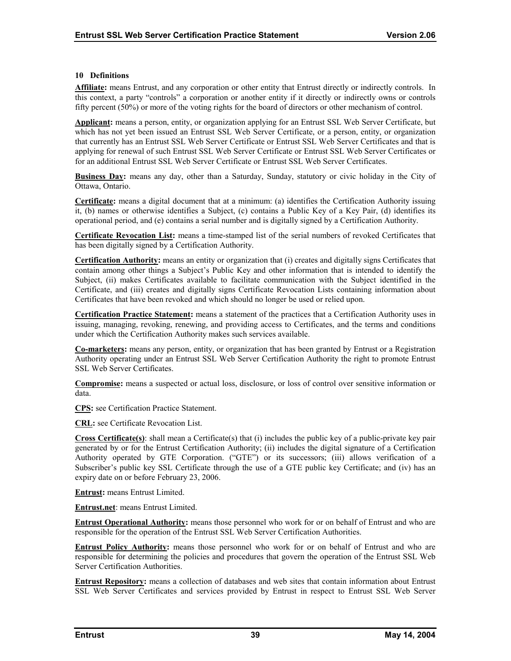#### <span id="page-43-0"></span>**10 Definitions**

**Affiliate:** means Entrust, and any corporation or other entity that Entrust directly or indirectly controls. In this context, a party "controls" a corporation or another entity if it directly or indirectly owns or controls fifty percent (50%) or more of the voting rights for the board of directors or other mechanism of control.

**Applicant:** means a person, entity, or organization applying for an Entrust SSL Web Server Certificate, but which has not yet been issued an Entrust SSL Web Server Certificate, or a person, entity, or organization that currently has an Entrust SSL Web Server Certificate or Entrust SSL Web Server Certificates and that is applying for renewal of such Entrust SSL Web Server Certificate or Entrust SSL Web Server Certificates or for an additional Entrust SSL Web Server Certificate or Entrust SSL Web Server Certificates.

**Business Day:** means any day, other than a Saturday, Sunday, statutory or civic holiday in the City of Ottawa, Ontario.

**Certificate:** means a digital document that at a minimum: (a) identifies the Certification Authority issuing it, (b) names or otherwise identifies a Subject, (c) contains a Public Key of a Key Pair, (d) identifies its operational period, and (e) contains a serial number and is digitally signed by a Certification Authority.

**Certificate Revocation List:** means a time-stamped list of the serial numbers of revoked Certificates that has been digitally signed by a Certification Authority.

**Certification Authority:** means an entity or organization that (i) creates and digitally signs Certificates that contain among other things a Subject's Public Key and other information that is intended to identify the Subject, (ii) makes Certificates available to facilitate communication with the Subject identified in the Certificate, and (iii) creates and digitally signs Certificate Revocation Lists containing information about Certificates that have been revoked and which should no longer be used or relied upon.

**Certification Practice Statement:** means a statement of the practices that a Certification Authority uses in issuing, managing, revoking, renewing, and providing access to Certificates, and the terms and conditions under which the Certification Authority makes such services available.

**Co-marketers:** means any person, entity, or organization that has been granted by Entrust or a Registration Authority operating under an Entrust SSL Web Server Certification Authority the right to promote Entrust SSL Web Server Certificates.

**Compromise:** means a suspected or actual loss, disclosure, or loss of control over sensitive information or data.

**CPS:** see Certification Practice Statement.

**CRL:** see Certificate Revocation List.

**Cross Certificate(s)**: shall mean a Certificate(s) that (i) includes the public key of a public-private key pair generated by or for the Entrust Certification Authority; (ii) includes the digital signature of a Certification Authority operated by GTE Corporation. ("GTE") or its successors; (iii) allows verification of a Subscriber's public key SSL Certificate through the use of a GTE public key Certificate; and (iv) has an expiry date on or before February 23, 2006.

**Entrust:** means Entrust Limited.

**Entrust.net**: means Entrust Limited.

**Entrust Operational Authority:** means those personnel who work for or on behalf of Entrust and who are responsible for the operation of the Entrust SSL Web Server Certification Authorities.

**Entrust Policy Authority:** means those personnel who work for or on behalf of Entrust and who are responsible for determining the policies and procedures that govern the operation of the Entrust SSL Web Server Certification Authorities.

**Entrust Repository:** means a collection of databases and web sites that contain information about Entrust SSL Web Server Certificates and services provided by Entrust in respect to Entrust SSL Web Server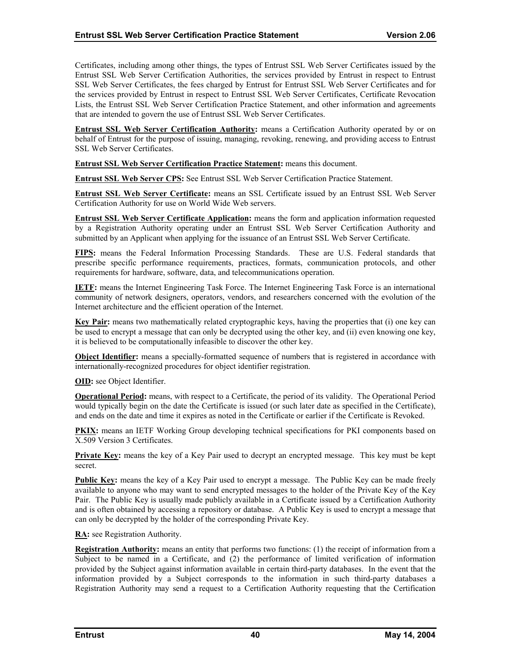Certificates, including among other things, the types of Entrust SSL Web Server Certificates issued by the Entrust SSL Web Server Certification Authorities, the services provided by Entrust in respect to Entrust SSL Web Server Certificates, the fees charged by Entrust for Entrust SSL Web Server Certificates and for the services provided by Entrust in respect to Entrust SSL Web Server Certificates, Certificate Revocation Lists, the Entrust SSL Web Server Certification Practice Statement, and other information and agreements that are intended to govern the use of Entrust SSL Web Server Certificates.

**Entrust SSL Web Server Certification Authority:** means a Certification Authority operated by or on behalf of Entrust for the purpose of issuing, managing, revoking, renewing, and providing access to Entrust SSL Web Server Certificates.

**Entrust SSL Web Server Certification Practice Statement:** means this document.

**Entrust SSL Web Server CPS:** See Entrust SSL Web Server Certification Practice Statement.

**Entrust SSL Web Server Certificate:** means an SSL Certificate issued by an Entrust SSL Web Server Certification Authority for use on World Wide Web servers.

**Entrust SSL Web Server Certificate Application:** means the form and application information requested by a Registration Authority operating under an Entrust SSL Web Server Certification Authority and submitted by an Applicant when applying for the issuance of an Entrust SSL Web Server Certificate.

**FIPS:** means the Federal Information Processing Standards. These are U.S. Federal standards that prescribe specific performance requirements, practices, formats, communication protocols, and other requirements for hardware, software, data, and telecommunications operation.

**IETF:** means the Internet Engineering Task Force. The Internet Engineering Task Force is an international community of network designers, operators, vendors, and researchers concerned with the evolution of the Internet architecture and the efficient operation of the Internet.

**Key Pair:** means two mathematically related cryptographic keys, having the properties that (i) one key can be used to encrypt a message that can only be decrypted using the other key, and (ii) even knowing one key, it is believed to be computationally infeasible to discover the other key.

**Object Identifier:** means a specially-formatted sequence of numbers that is registered in accordance with internationally-recognized procedures for object identifier registration.

**OID:** see Object Identifier.

**Operational Period:** means, with respect to a Certificate, the period of its validity. The Operational Period would typically begin on the date the Certificate is issued (or such later date as specified in the Certificate), and ends on the date and time it expires as noted in the Certificate or earlier if the Certificate is Revoked.

**PKIX:** means an IETF Working Group developing technical specifications for PKI components based on X.509 Version 3 Certificates.

**Private Key:** means the key of a Key Pair used to decrypt an encrypted message. This key must be kept secret.

**Public Key:** means the key of a Key Pair used to encrypt a message. The Public Key can be made freely available to anyone who may want to send encrypted messages to the holder of the Private Key of the Key Pair. The Public Key is usually made publicly available in a Certificate issued by a Certification Authority and is often obtained by accessing a repository or database. A Public Key is used to encrypt a message that can only be decrypted by the holder of the corresponding Private Key.

**RA:** see Registration Authority.

**Registration Authority:** means an entity that performs two functions: (1) the receipt of information from a Subject to be named in a Certificate, and (2) the performance of limited verification of information provided by the Subject against information available in certain third-party databases. In the event that the information provided by a Subject corresponds to the information in such third-party databases a Registration Authority may send a request to a Certification Authority requesting that the Certification